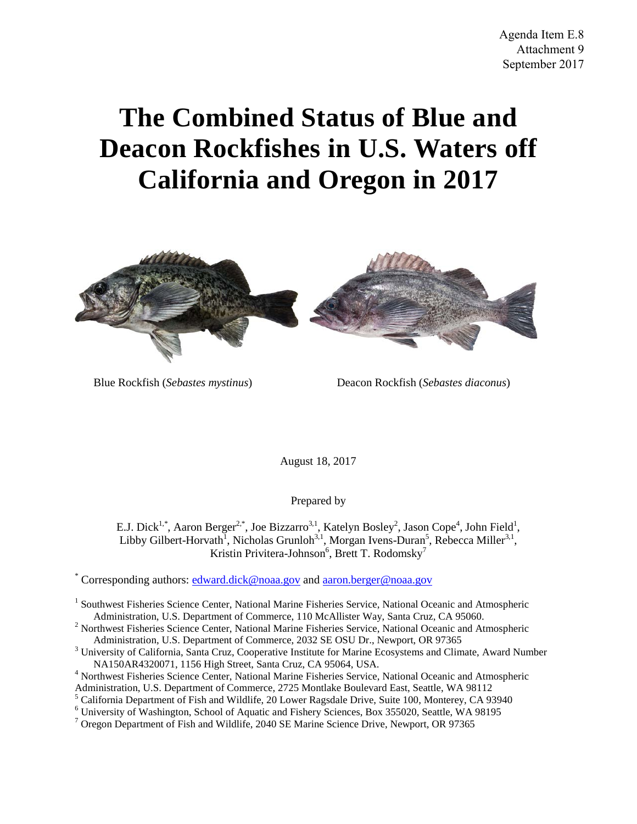# **The Combined Status of Blue and Deacon Rockfishes in U.S. Waters off California and Oregon in 2017**



Blue Rockfish (*Sebastes mystinus*) Deacon Rockfish (*Sebastes diaconus*)

August 18, 2017

Prepared by

E.J. Dick<sup>1,\*</sup>, Aaron Berger<sup>2,\*</sup>, Joe Bizzarro<sup>3,1</sup>, Katelyn Bosley<sup>2</sup>, Jason Cope<sup>4</sup>, John Field<sup>1</sup>, Libby Gilbert-Horvath<sup>1</sup>, Nicholas Grunloh<sup>3,1</sup>, Morgan Ivens-Duran<sup>5</sup>, Rebecca Miller<sup>3,1</sup>, Kristin Privitera-Johnson<sup>6</sup>, Brett T. Rodomsky<sup>7</sup>

\* Corresponding authors: [edward.dick@noaa.gov](mailto:edward.dick@noaa.gov) and [aaron.berger@noaa.gov](mailto:aaron.berger@noaa.gov)

- 
- Administration, U.S. Department of Commerce, 2032 SE OSU Dr., Newport, OR 97365 3 University of California, Santa Cruz, Cooperative Institute for Marine Ecosystems and Climate, Award Number NA150AR4320071, 1156 High Street, Santa Cruz, CA 95064, USA. 4 Northwest Fisheries Science Center, National Marine Fisheries Service, National Oceanic and Atmospheric
- 
- Administration, U.S. Department of Commerce, 2725 Montlake Boulevard East, Seattle, WA 98112<br><sup>5</sup> California Department of Fish and Wildlife, 20 Lower Ragsdale Drive, Suite 100, Monterey, CA 93940
- 
- <sup>6</sup> University of Washington, School of Aquatic and Fishery Sciences, Box 355020, Seattle, WA 98195<sup>7</sup> Oregon Department of Fish and Wildlife, 2040 SE Marine Science Drive, Newport, OR 97365

<sup>&</sup>lt;sup>1</sup> Southwest Fisheries Science Center, National Marine Fisheries Service, National Oceanic and Atmospheric Administration, U.S. Department of Commerce, 110 McAllister Way, Santa Cruz, CA 95060. <sup>2</sup> Northwest Fisheries Science Center, National Marine Fisheries Service, National Oceanic and Atmospheric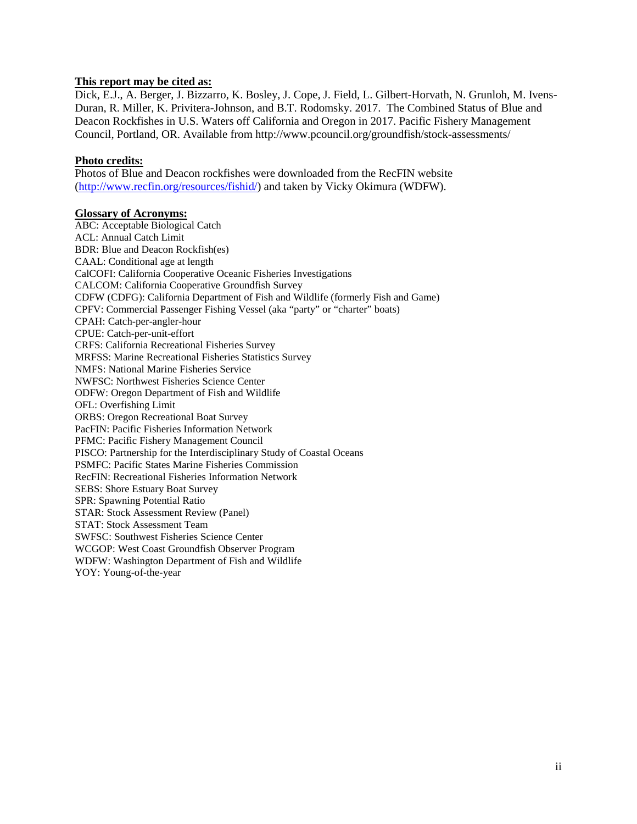#### **This report may be cited as:**

Dick, E.J., A. Berger, J. Bizzarro, K. Bosley, J. Cope, J. Field, L. Gilbert-Horvath, N. Grunloh, M. Ivens-Duran, R. Miller, K. Privitera-Johnson, and B.T. Rodomsky. 2017. The Combined Status of Blue and Deacon Rockfishes in U.S. Waters off California and Oregon in 2017. Pacific Fishery Management Council, Portland, OR. Available from http://www.pcouncil.org/groundfish/stock-assessments/

#### **Photo credits:**

Photos of Blue and Deacon rockfishes were downloaded from the RecFIN website [\(http://www.recfin.org/resources/fishid/\)](http://www.recfin.org/resources/fishid/) and taken by Vicky Okimura (WDFW).

#### **Glossary of Acronyms:**

ABC: Acceptable Biological Catch ACL: Annual Catch Limit BDR: Blue and Deacon Rockfish(es) CAAL: Conditional age at length CalCOFI: California Cooperative Oceanic Fisheries Investigations CALCOM: California Cooperative Groundfish Survey CDFW (CDFG): California Department of Fish and Wildlife (formerly Fish and Game) CPFV: Commercial Passenger Fishing Vessel (aka "party" or "charter" boats) CPAH: Catch-per-angler-hour CPUE: Catch-per-unit-effort CRFS: California Recreational Fisheries Survey MRFSS: Marine Recreational Fisheries Statistics Survey NMFS: National Marine Fisheries Service NWFSC: Northwest Fisheries Science Center ODFW: Oregon Department of Fish and Wildlife OFL: Overfishing Limit ORBS: Oregon Recreational Boat Survey PacFIN: Pacific Fisheries Information Network PFMC: Pacific Fishery Management Council PISCO: Partnership for the Interdisciplinary Study of Coastal Oceans PSMFC: Pacific States Marine Fisheries Commission RecFIN: Recreational Fisheries Information Network SEBS: Shore Estuary Boat Survey SPR: Spawning Potential Ratio STAR: Stock Assessment Review (Panel) STAT: Stock Assessment Team SWFSC: Southwest Fisheries Science Center WCGOP: West Coast Groundfish Observer Program WDFW: Washington Department of Fish and Wildlife YOY: Young-of-the-year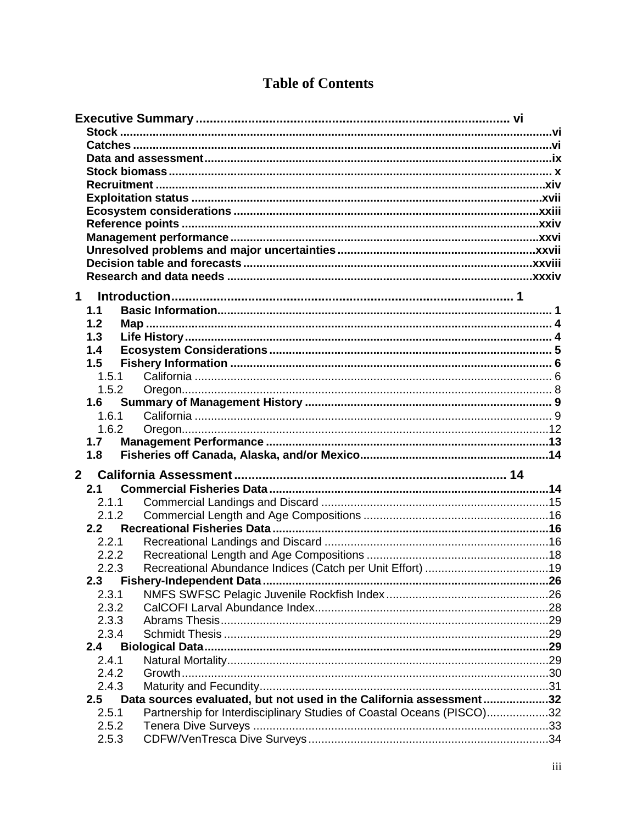| $\mathbf 1$ |                                                                                |  |
|-------------|--------------------------------------------------------------------------------|--|
|             | 1.1                                                                            |  |
|             | 1.2                                                                            |  |
|             | 1.3                                                                            |  |
|             | 1.4                                                                            |  |
|             | 1.5                                                                            |  |
|             | 1.5.1                                                                          |  |
|             | 1.5.2                                                                          |  |
|             | 1.6                                                                            |  |
|             | 1.6.1                                                                          |  |
|             |                                                                                |  |
|             | 1.7                                                                            |  |
|             |                                                                                |  |
|             |                                                                                |  |
|             | 1.8                                                                            |  |
|             | 2 <sup>7</sup>                                                                 |  |
|             | 2.1                                                                            |  |
|             | 2.1.1                                                                          |  |
|             | 2.1.2                                                                          |  |
|             | 2.2                                                                            |  |
|             | 2.2.1                                                                          |  |
|             | 2.2.2                                                                          |  |
|             | 2.2.3                                                                          |  |
|             |                                                                                |  |
|             | 2.3.1                                                                          |  |
|             | 2.3.2                                                                          |  |
|             | 2.3.3                                                                          |  |
|             | 2.3.4                                                                          |  |
|             | 2.4                                                                            |  |
|             | 2.4.1                                                                          |  |
|             | 2.4.2                                                                          |  |
|             | 2.4.3                                                                          |  |
|             | Data sources evaluated, but not used in the California assessment32<br>2.5     |  |
|             | 2.5.1<br>Partnership for Interdisciplinary Studies of Coastal Oceans (PISCO)32 |  |
|             | 2.5.2<br>2.5.3                                                                 |  |

# **Table of Contents**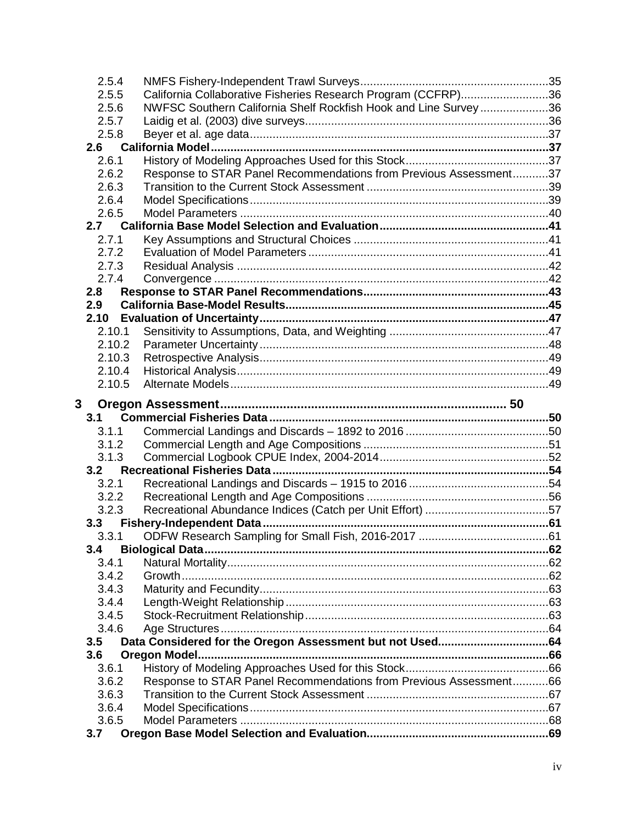| 2.5.4        |        |                                                                   |  |
|--------------|--------|-------------------------------------------------------------------|--|
| 2.5.5        |        | California Collaborative Fisheries Research Program (CCFRP)36     |  |
| 2.5.6        |        | NWFSC Southern California Shelf Rockfish Hook and Line Survey36   |  |
| 2.5.7        |        |                                                                   |  |
| 2.5.8        |        |                                                                   |  |
| 2.6          |        |                                                                   |  |
| 2.6.1        |        |                                                                   |  |
| 2.6.2        |        | Response to STAR Panel Recommendations from Previous Assessment37 |  |
| 2.6.3        |        |                                                                   |  |
| 2.6.4        |        |                                                                   |  |
| 2.6.5        |        |                                                                   |  |
| 2.7          |        |                                                                   |  |
| 2.7.1        |        |                                                                   |  |
|              | 2.7.2  |                                                                   |  |
| 2.7.3        |        |                                                                   |  |
|              | 2.7.4  |                                                                   |  |
| 2.8          |        |                                                                   |  |
| 2.9          |        |                                                                   |  |
| 2.10         |        |                                                                   |  |
|              | 2.10.1 |                                                                   |  |
|              | 2.10.2 |                                                                   |  |
|              | 2.10.3 |                                                                   |  |
|              | 2.10.4 |                                                                   |  |
|              | 2.10.5 |                                                                   |  |
|              |        |                                                                   |  |
|              |        |                                                                   |  |
| $\mathbf{3}$ |        |                                                                   |  |
| 3.1<br>3.1.1 |        |                                                                   |  |
|              | 3.1.2  |                                                                   |  |
|              |        |                                                                   |  |
| 3.2          | 3.1.3  |                                                                   |  |
| 3.2.1        |        |                                                                   |  |
|              | 3.2.2  |                                                                   |  |
| 3.2.3        |        |                                                                   |  |
| 3.3          |        |                                                                   |  |
| 3.3.1        |        |                                                                   |  |
| 3.4          |        |                                                                   |  |
| 3.4.1        |        |                                                                   |  |
| 3.4.2        |        |                                                                   |  |
| 3.4.3        |        |                                                                   |  |
| 3.4.4        |        |                                                                   |  |
| 3.4.5        |        |                                                                   |  |
| 3.4.6        |        |                                                                   |  |
| 3.5          |        |                                                                   |  |
| 3.6          |        |                                                                   |  |
| 3.6.1        |        |                                                                   |  |
| 3.6.2        |        | Response to STAR Panel Recommendations from Previous Assessment66 |  |
| 3.6.3        |        |                                                                   |  |
| 3.6.4        |        |                                                                   |  |
| 3.6.5<br>3.7 |        |                                                                   |  |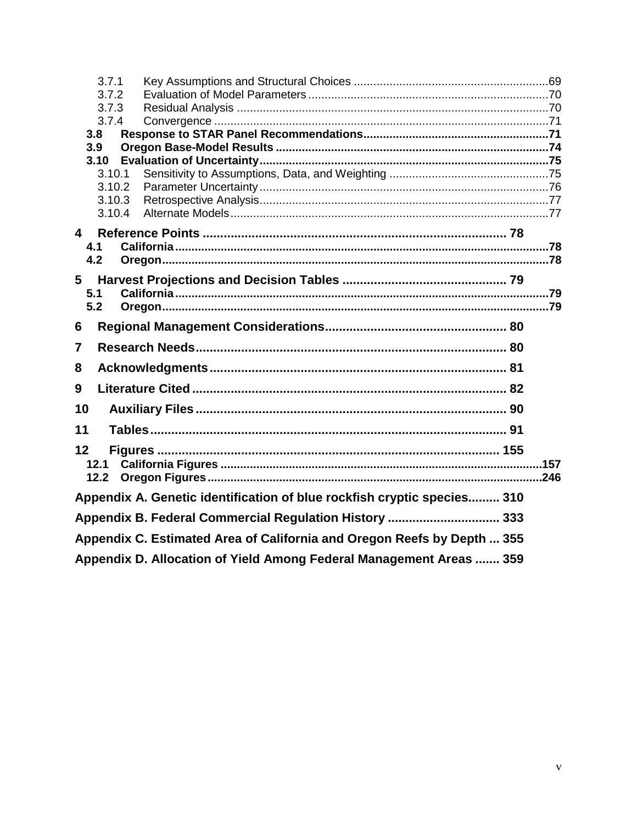| 3.7.1<br>3.7.2<br>3.7.3<br>3.7.4<br>3.8<br>3.9<br>3.10<br>3.10.1<br>3.10.2<br>3.10.3<br>3.10.4 |                                                                         |  |
|------------------------------------------------------------------------------------------------|-------------------------------------------------------------------------|--|
|                                                                                                |                                                                         |  |
| 4.1<br>4.2                                                                                     |                                                                         |  |
| 5                                                                                              |                                                                         |  |
| 5.1<br>5.2                                                                                     |                                                                         |  |
| 6                                                                                              |                                                                         |  |
| $\overline{7}$                                                                                 |                                                                         |  |
| 8                                                                                              |                                                                         |  |
| 9                                                                                              |                                                                         |  |
| 10                                                                                             |                                                                         |  |
| 11                                                                                             |                                                                         |  |
| 12<br>12.1<br>12.2                                                                             |                                                                         |  |
|                                                                                                | Appendix A. Genetic identification of blue rockfish cryptic species 310 |  |
|                                                                                                | Appendix B. Federal Commercial Regulation History  333                  |  |
|                                                                                                | Appendix C. Estimated Area of California and Oregon Reefs by Depth  355 |  |
|                                                                                                | Appendix D. Allocation of Yield Among Federal Management Areas  359     |  |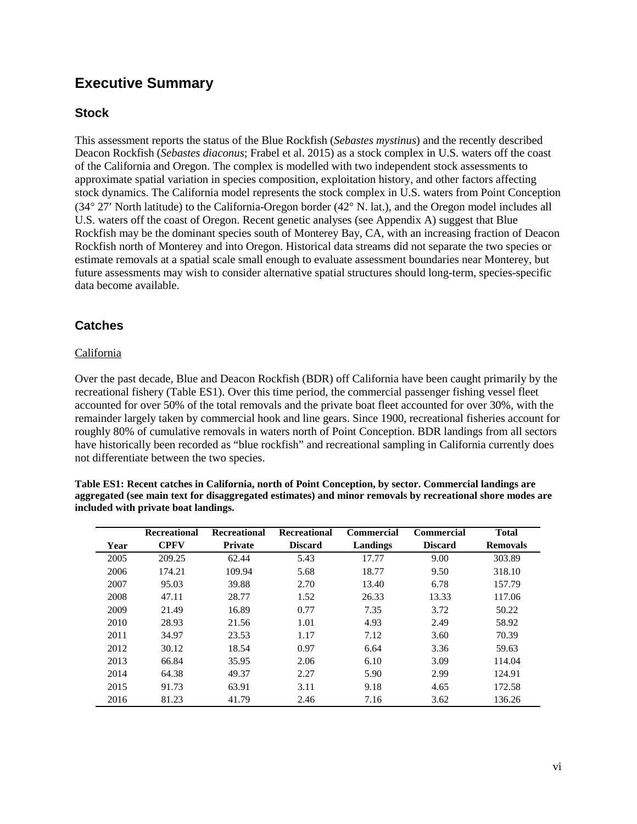## <span id="page-5-0"></span>**Executive Summary**

## <span id="page-5-1"></span>**Stock**

This assessment reports the status of the Blue Rockfish (*Sebastes mystinus*) and the recently described Deacon Rockfish (*Sebastes diaconus*; Frabel et al. 2015) as a stock complex in U.S. waters off the coast of the California and Oregon. The complex is modelled with two independent stock assessments to approximate spatial variation in species composition, exploitation history, and other factors affecting stock dynamics. The California model represents the stock complex in U.S. waters from Point Conception (34° 27′ North latitude) to the California-Oregon border (42° N. lat.), and the Oregon model includes all U.S. waters off the coast of Oregon. Recent genetic analyses (see Appendix A) suggest that Blue Rockfish may be the dominant species south of Monterey Bay, CA, with an increasing fraction of Deacon Rockfish north of Monterey and into Oregon. Historical data streams did not separate the two species or estimate removals at a spatial scale small enough to evaluate assessment boundaries near Monterey, but future assessments may wish to consider alternative spatial structures should long-term, species-specific data become available.

## <span id="page-5-2"></span>**Catches**

### California

Over the past decade, Blue and Deacon Rockfish (BDR) off California have been caught primarily by the recreational fishery (Table ES1). Over this time period, the commercial passenger fishing vessel fleet accounted for over 50% of the total removals and the private boat fleet accounted for over 30%, with the remainder largely taken by commercial hook and line gears. Since 1900, recreational fisheries account for roughly 80% of cumulative removals in waters north of Point Conception. BDR landings from all sectors have historically been recorded as "blue rockfish" and recreational sampling in California currently does not differentiate between the two species.

**Table ES1: Recent catches in California, north of Point Conception, by sector. Commercial landings are aggregated (see main text for disaggregated estimates) and minor removals by recreational shore modes are included with private boat landings.**

|      | Recreational | <b>Recreational</b> | <b>Recreational</b> | <b>Commercial</b> | <b>Commercial</b> | <b>Total</b>    |
|------|--------------|---------------------|---------------------|-------------------|-------------------|-----------------|
| Year | <b>CPFV</b>  | <b>Private</b>      | <b>Discard</b>      | Landings          | <b>Discard</b>    | <b>Removals</b> |
| 2005 | 209.25       | 62.44               | 5.43                | 17.77             | 9.00              | 303.89          |
| 2006 | 174.21       | 109.94              | 5.68                | 18.77             | 9.50              | 318.10          |
| 2007 | 95.03        | 39.88               | 2.70                | 13.40             | 6.78              | 157.79          |
| 2008 | 47.11        | 28.77               | 1.52                | 26.33             | 13.33             | 117.06          |
| 2009 | 21.49        | 16.89               | 0.77                | 7.35              | 3.72              | 50.22           |
| 2010 | 28.93        | 21.56               | 1.01                | 4.93              | 2.49              | 58.92           |
| 2011 | 34.97        | 23.53               | 1.17                | 7.12              | 3.60              | 70.39           |
| 2012 | 30.12        | 18.54               | 0.97                | 6.64              | 3.36              | 59.63           |
| 2013 | 66.84        | 35.95               | 2.06                | 6.10              | 3.09              | 114.04          |
| 2014 | 64.38        | 49.37               | 2.27                | 5.90              | 2.99              | 124.91          |
| 2015 | 91.73        | 63.91               | 3.11                | 9.18              | 4.65              | 172.58          |
| 2016 | 81.23        | 41.79               | 2.46                | 7.16              | 3.62              | 136.26          |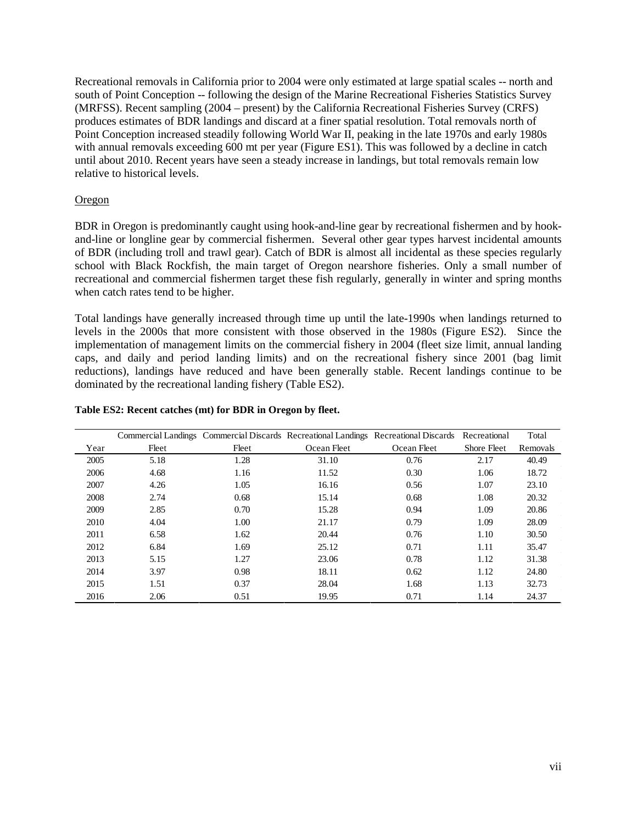Recreational removals in California prior to 2004 were only estimated at large spatial scales -- north and south of Point Conception -- following the design of the Marine Recreational Fisheries Statistics Survey (MRFSS). Recent sampling (2004 – present) by the California Recreational Fisheries Survey (CRFS) produces estimates of BDR landings and discard at a finer spatial resolution. Total removals north of Point Conception increased steadily following World War II, peaking in the late 1970s and early 1980s with annual removals exceeding 600 mt per year (Figure ES1). This was followed by a decline in catch until about 2010. Recent years have seen a steady increase in landings, but total removals remain low relative to historical levels.

#### Oregon

BDR in Oregon is predominantly caught using hook-and-line gear by recreational fishermen and by hookand-line or longline gear by commercial fishermen. Several other gear types harvest incidental amounts of BDR (including troll and trawl gear). Catch of BDR is almost all incidental as these species regularly school with Black Rockfish, the main target of Oregon nearshore fisheries. Only a small number of recreational and commercial fishermen target these fish regularly, generally in winter and spring months when catch rates tend to be higher.

Total landings have generally increased through time up until the late-1990s when landings returned to levels in the 2000s that more consistent with those observed in the 1980s (Figure ES2). Since the implementation of management limits on the commercial fishery in 2004 (fleet size limit, annual landing caps, and daily and period landing limits) and on the recreational fishery since 2001 (bag limit reductions), landings have reduced and have been generally stable. Recent landings continue to be dominated by the recreational landing fishery (Table ES2).

|      |       |       |             | Commercial Landings Commercial Discards Recreational Landings Recreational Discards Recreational |             | Total    |
|------|-------|-------|-------------|--------------------------------------------------------------------------------------------------|-------------|----------|
| Year | Fleet | Fleet | Ocean Fleet | Ocean Fleet                                                                                      | Shore Fleet | Removals |
| 2005 | 5.18  | 1.28  | 31.10       | 0.76                                                                                             | 2.17        | 40.49    |
| 2006 | 4.68  | 1.16  | 11.52       | 0.30                                                                                             | 1.06        | 18.72    |
| 2007 | 4.26  | 1.05  | 16.16       | 0.56                                                                                             | 1.07        | 23.10    |
| 2008 | 2.74  | 0.68  | 15.14       | 0.68                                                                                             | 1.08        | 20.32    |
| 2009 | 2.85  | 0.70  | 15.28       | 0.94                                                                                             | 1.09        | 20.86    |
| 2010 | 4.04  | 1.00  | 21.17       | 0.79                                                                                             | 1.09        | 28.09    |
| 2011 | 6.58  | 1.62  | 20.44       | 0.76                                                                                             | 1.10        | 30.50    |
| 2012 | 6.84  | 1.69  | 25.12       | 0.71                                                                                             | 1.11        | 35.47    |
| 2013 | 5.15  | 1.27  | 23.06       | 0.78                                                                                             | 1.12        | 31.38    |
| 2014 | 3.97  | 0.98  | 18.11       | 0.62                                                                                             | 1.12        | 24.80    |
| 2015 | 1.51  | 0.37  | 28.04       | 1.68                                                                                             | 1.13        | 32.73    |
| 2016 | 2.06  | 0.51  | 19.95       | 0.71                                                                                             | 1.14        | 24.37    |

#### **Table ES2: Recent catches (mt) for BDR in Oregon by fleet.**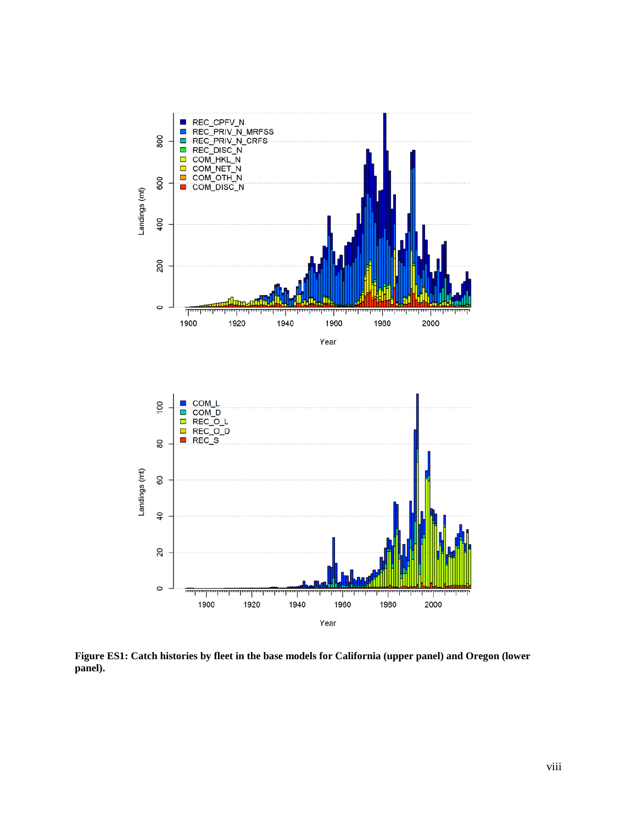

**Figure ES1: Catch histories by fleet in the base models for California (upper panel) and Oregon (lower panel).**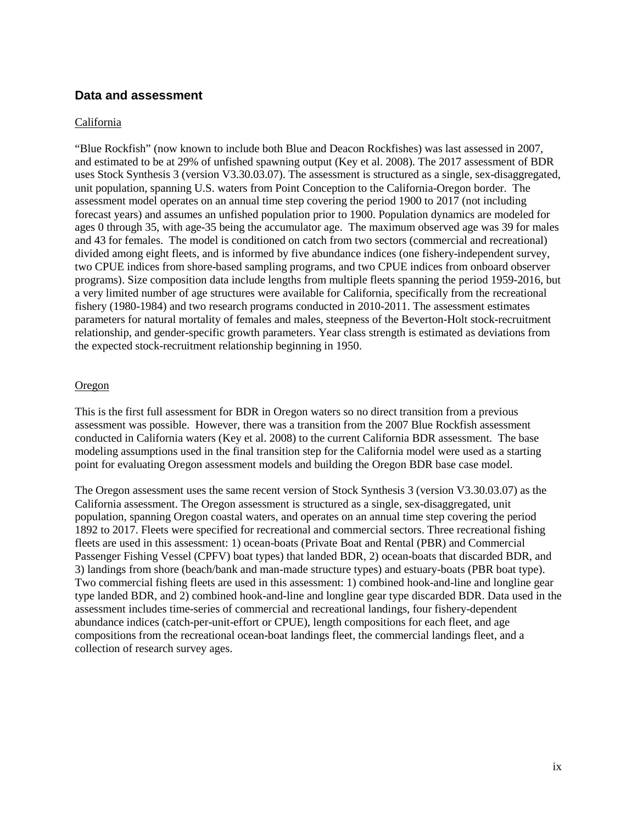#### <span id="page-8-0"></span>**Data and assessment**

#### California

"Blue Rockfish" (now known to include both Blue and Deacon Rockfishes) was last assessed in 2007, and estimated to be at 29% of unfished spawning output (Key et al. 2008). The 2017 assessment of BDR uses Stock Synthesis 3 (version V3.30.03.07). The assessment is structured as a single, sex-disaggregated, unit population, spanning U.S. waters from Point Conception to the California-Oregon border. The assessment model operates on an annual time step covering the period 1900 to 2017 (not including forecast years) and assumes an unfished population prior to 1900. Population dynamics are modeled for ages 0 through 35, with age-35 being the accumulator age. The maximum observed age was 39 for males and 43 for females. The model is conditioned on catch from two sectors (commercial and recreational) divided among eight fleets, and is informed by five abundance indices (one fishery-independent survey, two CPUE indices from shore-based sampling programs, and two CPUE indices from onboard observer programs). Size composition data include lengths from multiple fleets spanning the period 1959-2016, but a very limited number of age structures were available for California, specifically from the recreational fishery (1980-1984) and two research programs conducted in 2010-2011. The assessment estimates parameters for natural mortality of females and males, steepness of the Beverton-Holt stock-recruitment relationship, and gender-specific growth parameters. Year class strength is estimated as deviations from the expected stock-recruitment relationship beginning in 1950.

#### Oregon

This is the first full assessment for BDR in Oregon waters so no direct transition from a previous assessment was possible. However, there was a transition from the 2007 Blue Rockfish assessment conducted in California waters (Key et al. 2008) to the current California BDR assessment. The base modeling assumptions used in the final transition step for the California model were used as a starting point for evaluating Oregon assessment models and building the Oregon BDR base case model.

The Oregon assessment uses the same recent version of Stock Synthesis 3 (version V3.30.03.07) as the California assessment. The Oregon assessment is structured as a single, sex-disaggregated, unit population, spanning Oregon coastal waters, and operates on an annual time step covering the period 1892 to 2017. Fleets were specified for recreational and commercial sectors. Three recreational fishing fleets are used in this assessment: 1) ocean-boats (Private Boat and Rental (PBR) and Commercial Passenger Fishing Vessel (CPFV) boat types) that landed BDR, 2) ocean-boats that discarded BDR, and 3) landings from shore (beach/bank and man-made structure types) and estuary-boats (PBR boat type). Two commercial fishing fleets are used in this assessment: 1) combined hook-and-line and longline gear type landed BDR, and 2) combined hook-and-line and longline gear type discarded BDR. Data used in the assessment includes time-series of commercial and recreational landings, four fishery-dependent abundance indices (catch-per-unit-effort or CPUE), length compositions for each fleet, and age compositions from the recreational ocean-boat landings fleet, the commercial landings fleet, and a collection of research survey ages.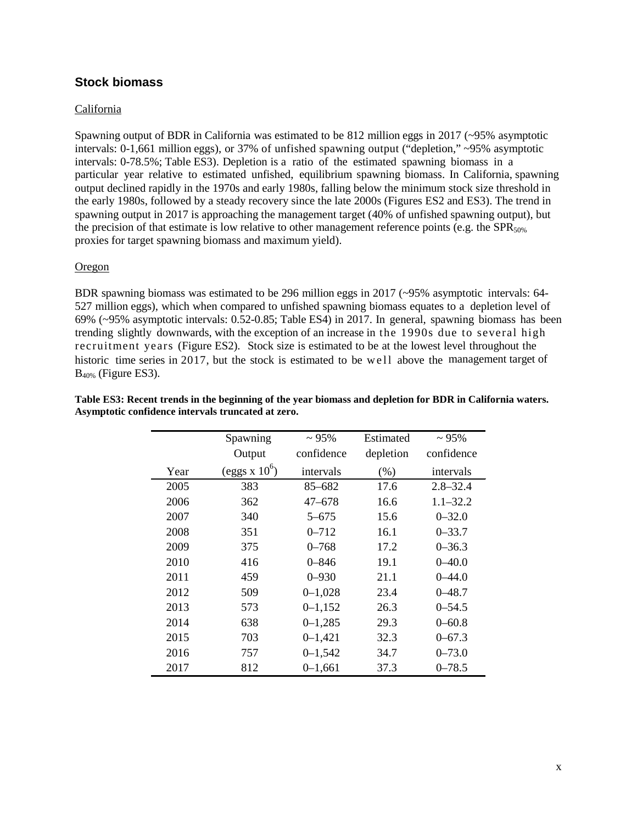## <span id="page-9-0"></span>**Stock biomass**

#### California

Spawning output of BDR in California was estimated to be 812 million eggs in 2017 (~95% asymptotic intervals: 0-1,661 million eggs), or 37% of unfished spawning output ("depletion," ~95% asymptotic intervals: 0-78.5%; Table ES3). Depletion is a ratio of the estimated spawning biomass in a particular year relative to estimated unfished, equilibrium spawning biomass. In California, spawning output declined rapidly in the 1970s and early 1980s, falling below the minimum stock size threshold in the early 1980s, followed by a steady recovery since the late 2000s (Figures ES2 and ES3). The trend in spawning output in 2017 is approaching the management target (40% of unfished spawning output), but the precision of that estimate is low relative to other management reference points (e.g. the SPR $_{50\%}$ proxies for target spawning biomass and maximum yield).

#### **Oregon**

BDR spawning biomass was estimated to be 296 million eggs in 2017 (~95% asymptotic intervals: 64- 527 million eggs), which when compared to unfished spawning biomass equates to a depletion level of 69% (~95% asymptotic intervals: 0.52-0.85; Table ES4) in 2017. In general, spawning biomass has been trending slightly downwards, with the exception of an increase in the 1990s due to several high recruitment years (Figure ES2). Stock size is estimated to be at the lowest level throughout the historic time series in 2017, but the stock is estimated to be well above the management target of B40% (Figure ES3).

|      | Spawning         | $\sim 95\%$ | Estimated | $\sim 95\%$  |
|------|------------------|-------------|-----------|--------------|
|      | Output           | confidence  | depletion | confidence   |
| Year | (eggs x $10^6$ ) | intervals   | (% )      | intervals    |
| 2005 | 383              | 85-682      | 17.6      | $2.8 - 32.4$ |
| 2006 | 362              | 47–678      | 16.6      | $1.1 - 32.2$ |
| 2007 | 340              | $5 - 675$   | 15.6      | $0 - 32.0$   |
| 2008 | 351              | $0 - 712$   | 16.1      | $0 - 33.7$   |
| 2009 | 375              | $0 - 768$   | 17.2      | $0 - 36.3$   |
| 2010 | 416              | $0 - 846$   | 19.1      | $0 - 40.0$   |
| 2011 | 459              | $0 - 930$   | 21.1      | $0 - 44.0$   |
| 2012 | 509              | $0 - 1,028$ | 23.4      | $0 - 48.7$   |
| 2013 | 573              | $0 - 1,152$ | 26.3      | $0 - 54.5$   |
| 2014 | 638              | $0 - 1,285$ | 29.3      | $0 - 60.8$   |
| 2015 | 703              | $0 - 1,421$ | 32.3      | $0 - 67.3$   |
| 2016 | 757              | $0 - 1,542$ | 34.7      | $0 - 73.0$   |
| 2017 | 812              | $0 - 1,661$ | 37.3      | $0 - 78.5$   |

**Table ES3: Recent trends in the beginning of the year biomass and depletion for BDR in California waters. Asymptotic confidence intervals truncated at zero.**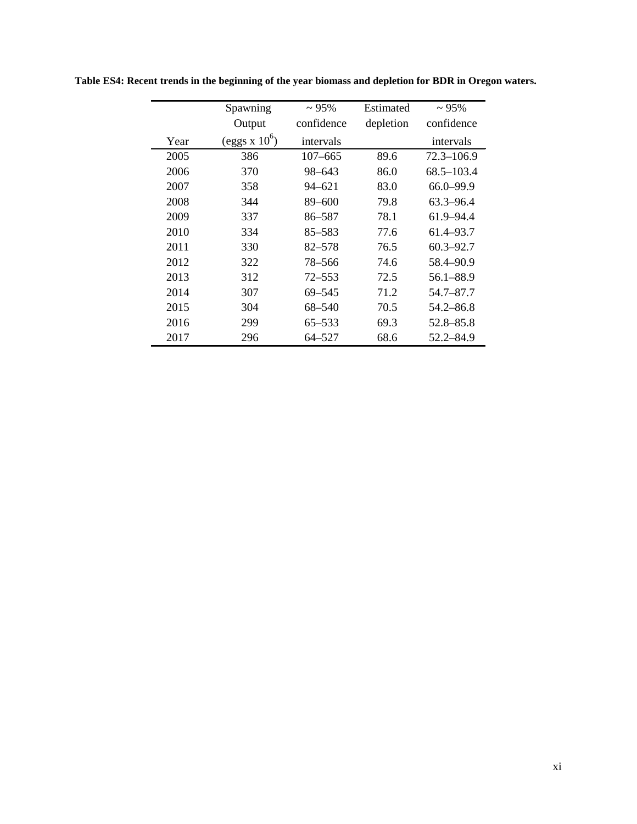|      | Spawning         | $\sim 95\%$ | Estimated | $\sim 95\%$    |
|------|------------------|-------------|-----------|----------------|
|      | Output           | confidence  | depletion | confidence     |
| Year | (eggs x $10^6$ ) | intervals   |           | intervals      |
| 2005 | 386              | $107 - 665$ | 89.6      | $72.3 - 106.9$ |
| 2006 | 370              | 98-643      | 86.0      | $68.5 - 103.4$ |
| 2007 | 358              | 94-621      | 83.0      | 66.0-99.9      |
| 2008 | 344              | 89-600      | 79.8      | $63.3 - 96.4$  |
| 2009 | 337              | 86-587      | 78.1      | 61.9–94.4      |
| 2010 | 334              | 85–583      | 77.6      | 61.4–93.7      |
| 2011 | 330              | 82-578      | 76.5      | $60.3 - 92.7$  |
| 2012 | 322              | 78–566      | 74.6      | 58.4–90.9      |
| 2013 | 312              | $72 - 553$  | 72.5      | 56.1-88.9      |
| 2014 | 307              | 69–545      | 71.2      | 54.7–87.7      |
| 2015 | 304              | 68-540      | 70.5      | $54.2 - 86.8$  |
| 2016 | 299              | 65–533      | 69.3      | 52.8-85.8      |
| 2017 | 296              | 64-527      | 68.6      | 52.2–84.9      |

**Table ES4: Recent trends in the beginning of the year biomass and depletion for BDR in Oregon waters.**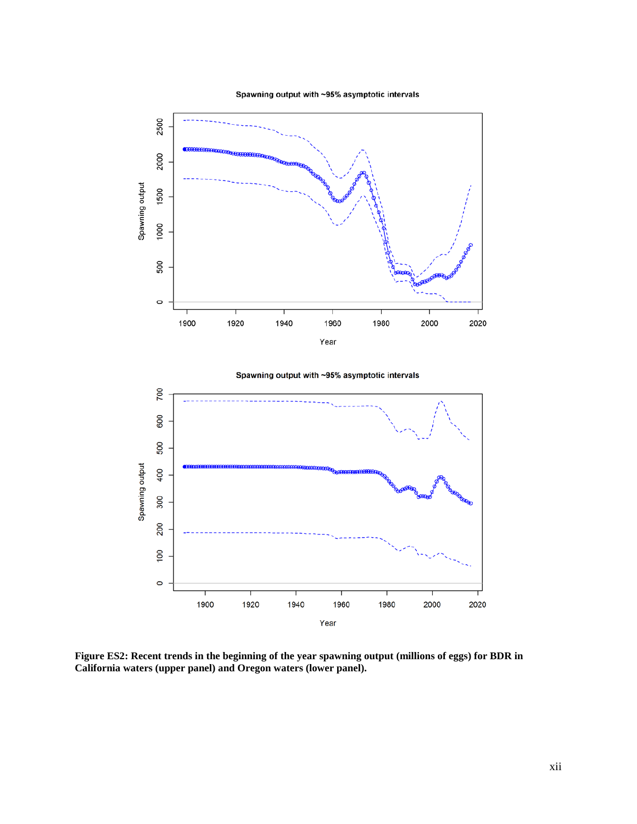Spawning output with ~95% asymptotic intervals





**Figure ES2: Recent trends in the beginning of the year spawning output (millions of eggs) for BDR in California waters (upper panel) and Oregon waters (lower panel).**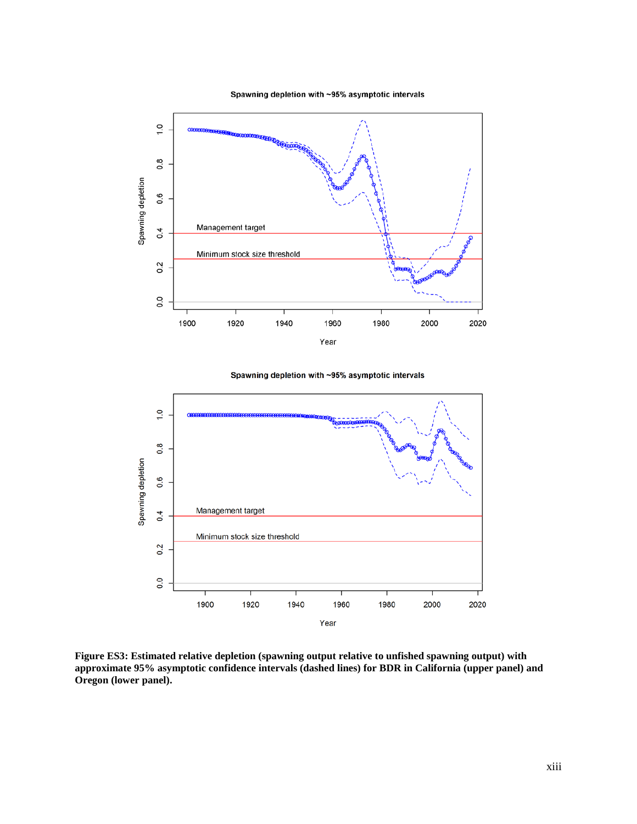Spawning depletion with ~95% asymptotic intervals



Spawning depletion with ~95% asymptotic intervals



**Figure ES3: Estimated relative depletion (spawning output relative to unfished spawning output) with approximate 95% asymptotic confidence intervals (dashed lines) for BDR in California (upper panel) and Oregon (lower panel).**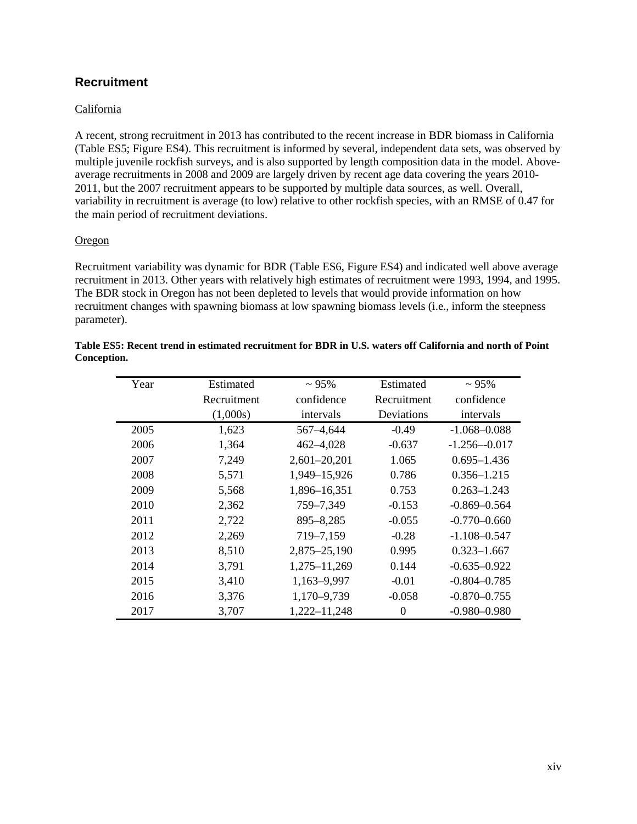## <span id="page-13-0"></span>**Recruitment**

#### California

A recent, strong recruitment in 2013 has contributed to the recent increase in BDR biomass in California (Table ES5; Figure ES4). This recruitment is informed by several, independent data sets, was observed by multiple juvenile rockfish surveys, and is also supported by length composition data in the model. Aboveaverage recruitments in 2008 and 2009 are largely driven by recent age data covering the years 2010- 2011, but the 2007 recruitment appears to be supported by multiple data sources, as well. Overall, variability in recruitment is average (to low) relative to other rockfish species, with an RMSE of 0.47 for the main period of recruitment deviations.

#### **Oregon**

Recruitment variability was dynamic for BDR (Table ES6, Figure ES4) and indicated well above average recruitment in 2013. Other years with relatively high estimates of recruitment were 1993, 1994, and 1995. The BDR stock in Oregon has not been depleted to levels that would provide information on how recruitment changes with spawning biomass at low spawning biomass levels (i.e., inform the steepness parameter).

| Year | Estimated   | $\sim 95\%$      | Estimated   | $~1.95\%$        |
|------|-------------|------------------|-------------|------------------|
|      | Recruitment | confidence       | Recruitment | confidence       |
|      | (1,000s)    | intervals        | Deviations  | intervals        |
| 2005 | 1,623       | 567-4,644        | $-0.49$     | $-1.068 - 0.088$ |
| 2006 | 1,364       | $462 - 4028$     | $-0.637$    | $-1.256 - 0.017$ |
| 2007 | 7,249       | $2,601 - 20,201$ | 1.065       | $0.695 - 1.436$  |
| 2008 | 5,571       | 1,949-15,926     | 0.786       | $0.356 - 1.215$  |
| 2009 | 5,568       | 1,896-16,351     | 0.753       | $0.263 - 1.243$  |
| 2010 | 2,362       | 759-7,349        | $-0.153$    | $-0.869 - 0.564$ |
| 2011 | 2,722       | $895 - 8,285$    | $-0.055$    | $-0.770 - 0.660$ |
| 2012 | 2,269       | 719-7,159        | $-0.28$     | $-1.108 - 0.547$ |
| 2013 | 8,510       | 2,875-25,190     | 0.995       | $0.323 - 1.667$  |
| 2014 | 3,791       | 1,275-11,269     | 0.144       | $-0.635 - 0.922$ |
| 2015 | 3,410       | 1,163-9,997      | $-0.01$     | $-0.804 - 0.785$ |
| 2016 | 3,376       | 1,170-9,739      | $-0.058$    | $-0.870 - 0.755$ |
| 2017 | 3,707       | 1,222-11,248     | 0           | $-0.980 - 0.980$ |

#### **Table ES5: Recent trend in estimated recruitment for BDR in U.S. waters off California and north of Point Conception.**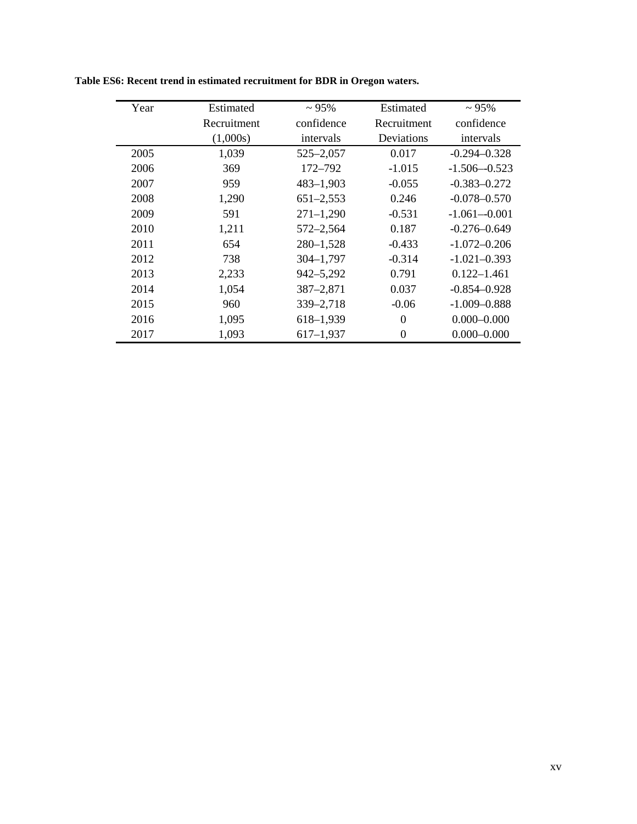| Year | Estimated   | $~1.95\%$     | Estimated        | $\sim 95\%$      |
|------|-------------|---------------|------------------|------------------|
|      | Recruitment | confidence    | Recruitment      | confidence       |
|      | (1,000s)    | intervals     | Deviations       | intervals        |
| 2005 | 1,039       | $525 - 2,057$ | 0.017            | $-0.294 - 0.328$ |
| 2006 | 369         | 172–792       | $-1.015$         | $-1.506 - 0.523$ |
| 2007 | 959         | $483 - 1,903$ | $-0.055$         | $-0.383 - 0.272$ |
| 2008 | 1,290       | $651 - 2,553$ | 0.246            | $-0.078 - 0.570$ |
| 2009 | 591         | $271 - 1,290$ | $-0.531$         | $-1.061 - 0.001$ |
| 2010 | 1,211       | 572-2,564     | 0.187            | $-0.276 - 0.649$ |
| 2011 | 654         | $280 - 1,528$ | $-0.433$         | $-1.072 - 0.206$ |
| 2012 | 738         | $304 - 1,797$ | $-0.314$         | $-1.021 - 0.393$ |
| 2013 | 2,233       | 942-5,292     | 0.791            | $0.122 - 1.461$  |
| 2014 | 1,054       | $387 - 2,871$ | 0.037            | $-0.854 - 0.928$ |
| 2015 | 960         | 339-2,718     | $-0.06$          | $-1.009 - 0.888$ |
| 2016 | 1,095       | 618-1,939     | $\Omega$         | $0.000 - 0.000$  |
| 2017 | 1,093       | $617 - 1,937$ | $\boldsymbol{0}$ | $0.000 - 0.000$  |

**Table ES6: Recent trend in estimated recruitment for BDR in Oregon waters.**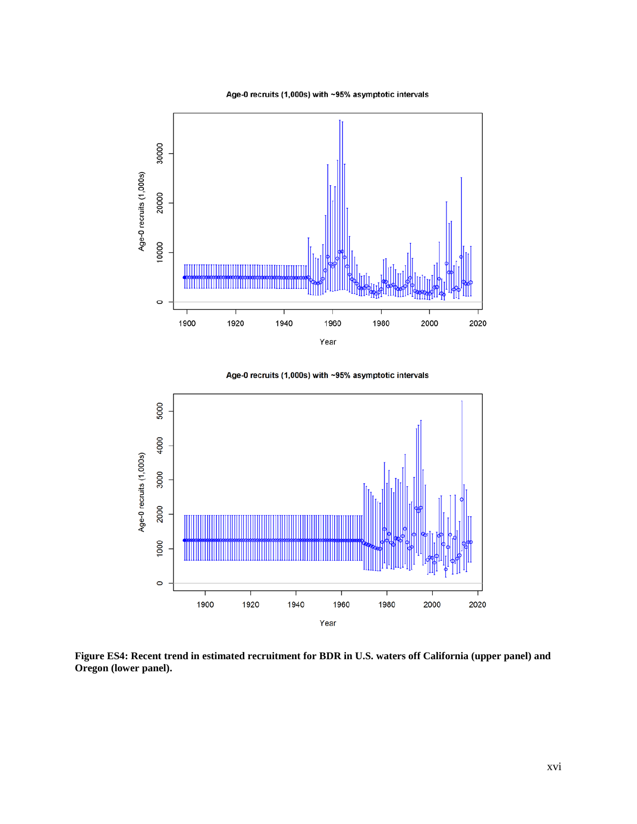Age-0 recruits (1,000s) with ~95% asymptotic intervals



Age-0 recruits (1,000s) with ~95% asymptotic intervals



**Figure ES4: Recent trend in estimated recruitment for BDR in U.S. waters off California (upper panel) and Oregon (lower panel).**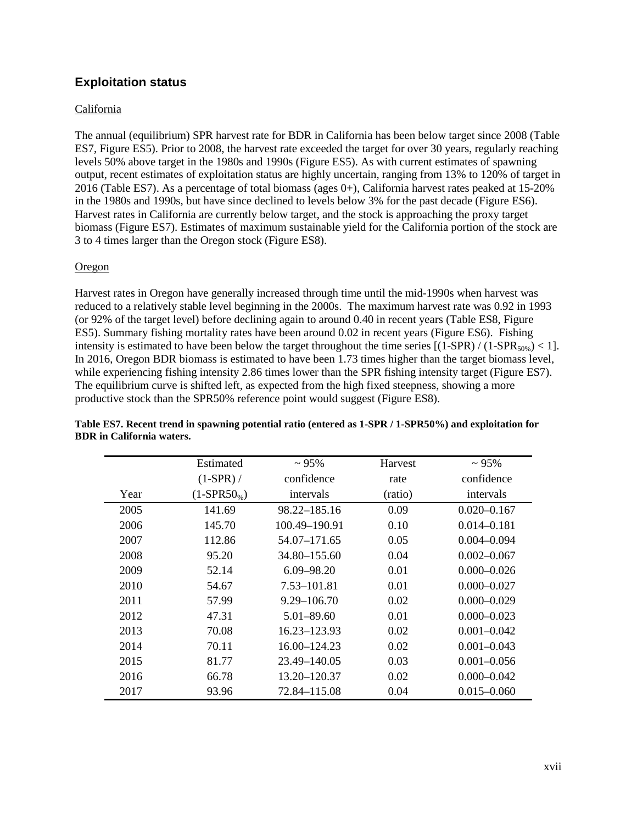## <span id="page-16-0"></span>**Exploitation status**

#### California

The annual (equilibrium) SPR harvest rate for BDR in California has been below target since 2008 (Table ES7, Figure ES5). Prior to 2008, the harvest rate exceeded the target for over 30 years, regularly reaching levels 50% above target in the 1980s and 1990s (Figure ES5). As with current estimates of spawning output, recent estimates of exploitation status are highly uncertain, ranging from 13% to 120% of target in 2016 (Table ES7). As a percentage of total biomass (ages  $0+$ ), California harvest rates peaked at 15-20% in the 1980s and 1990s, but have since declined to levels below 3% for the past decade (Figure ES6). Harvest rates in California are currently below target, and the stock is approaching the proxy target biomass (Figure ES7). Estimates of maximum sustainable yield for the California portion of the stock are 3 to 4 times larger than the Oregon stock (Figure ES8).

#### **Oregon**

Harvest rates in Oregon have generally increased through time until the mid-1990s when harvest was reduced to a relatively stable level beginning in the 2000s. The maximum harvest rate was 0.92 in 1993 (or 92% of the target level) before declining again to around 0.40 in recent years (Table ES8, Figure ES5). Summary fishing mortality rates have been around 0.02 in recent years (Figure ES6). Fishing intensity is estimated to have been below the target throughout the time series  $[(1-SPR) / (1-SPR<sub>50%</sub>) < 1]$ . In 2016, Oregon BDR biomass is estimated to have been 1.73 times higher than the target biomass level, while experiencing fishing intensity 2.86 times lower than the SPR fishing intensity target (Figure ES7). The equilibrium curve is shifted left, as expected from the high fixed steepness, showing a more productive stock than the SPR50% reference point would suggest (Figure ES8).

|      | Estimated    | $~1.95\%$       | Harvest | $\sim 95\%$     |
|------|--------------|-----------------|---------|-----------------|
|      | $(1-SPR)$ /  | confidence      | rate    | confidence      |
| Year | $(1-SPR50%)$ | intervals       | (ratio) | intervals       |
| 2005 | 141.69       | 98.22–185.16    | 0.09    | $0.020 - 0.167$ |
| 2006 | 145.70       | 100.49-190.91   | 0.10    | $0.014 - 0.181$ |
| 2007 | 112.86       | 54.07-171.65    | 0.05    | $0.004 - 0.094$ |
| 2008 | 95.20        | 34.80 – 155.60  | 0.04    | $0.002 - 0.067$ |
| 2009 | 52.14        | $6.09 - 98.20$  | 0.01    | $0.000 - 0.026$ |
| 2010 | 54.67        | 7.53–101.81     | 0.01    | $0.000 - 0.027$ |
| 2011 | 57.99        | $9.29 - 106.70$ | 0.02    | $0.000 - 0.029$ |
| 2012 | 47.31        | $5.01 - 89.60$  | 0.01    | $0.000 - 0.023$ |
| 2013 | 70.08        | 16.23–123.93    | 0.02    | $0.001 - 0.042$ |
| 2014 | 70.11        | 16.00–124.23    | 0.02    | $0.001 - 0.043$ |
| 2015 | 81.77        | 23.49–140.05    | 0.03    | $0.001 - 0.056$ |
| 2016 | 66.78        | 13.20–120.37    | 0.02    | $0.000 - 0.042$ |
| 2017 | 93.96        | 72.84–115.08    | 0.04    | $0.015 - 0.060$ |

#### **Table ES7. Recent trend in spawning potential ratio (entered as 1-SPR / 1-SPR50%) and exploitation for BDR in California waters.**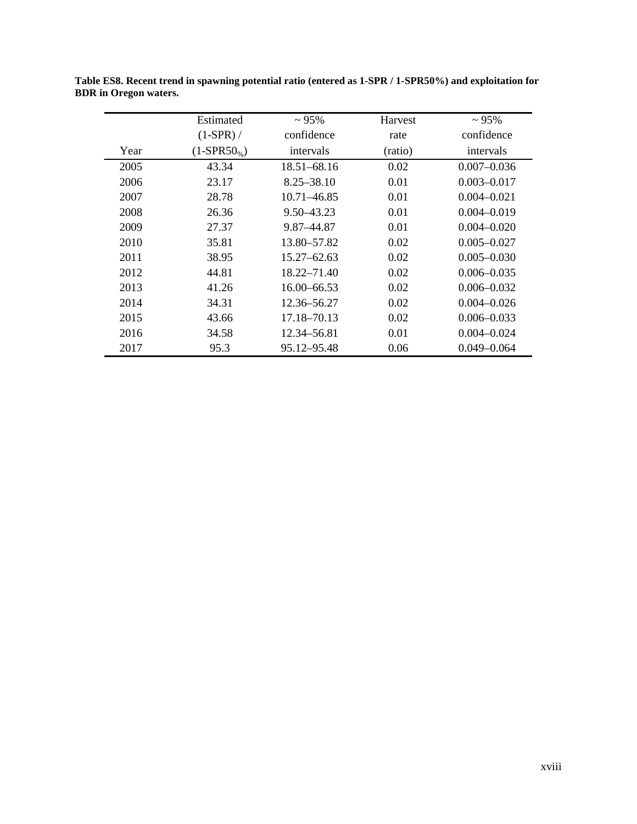|      | Estimated        | $\sim 95\%$     | Harvest | $\sim 95\%$     |
|------|------------------|-----------------|---------|-----------------|
|      | $(1-SPR)$ /      | confidence      | rate    | confidence      |
| Year | $(1-SPR50_{\%})$ | intervals       | (ratio) | intervals       |
| 2005 | 43.34            | 18.51–68.16     | 0.02    | $0.007 - 0.036$ |
| 2006 | 23.17            | $8.25 - 38.10$  | 0.01    | $0.003 - 0.017$ |
| 2007 | 28.78            | 10.71–46.85     | 0.01    | $0.004 - 0.021$ |
| 2008 | 26.36            | 9.50–43.23      | 0.01    | $0.004 - 0.019$ |
| 2009 | 27.37            | 9.87–44.87      | 0.01    | $0.004 - 0.020$ |
| 2010 | 35.81            | 13.80–57.82     | 0.02    | $0.005 - 0.027$ |
| 2011 | 38.95            | 15.27–62.63     | 0.02    | $0.005 - 0.030$ |
| 2012 | 44.81            | 18.22–71.40     | 0.02    | $0.006 - 0.035$ |
| 2013 | 41.26            | $16.00 - 66.53$ | 0.02    | $0.006 - 0.032$ |
| 2014 | 34.31            | 12.36–56.27     | 0.02    | $0.004 - 0.026$ |
| 2015 | 43.66            | 17.18–70.13     | 0.02    | $0.006 - 0.033$ |
| 2016 | 34.58            | 12.34–56.81     | 0.01    | $0.004 - 0.024$ |
| 2017 | 95.3             | 95.12-95.48     | 0.06    | $0.049 - 0.064$ |

**Table ES8. Recent trend in spawning potential ratio (entered as 1-SPR / 1-SPR50%) and exploitation for BDR in Oregon waters.**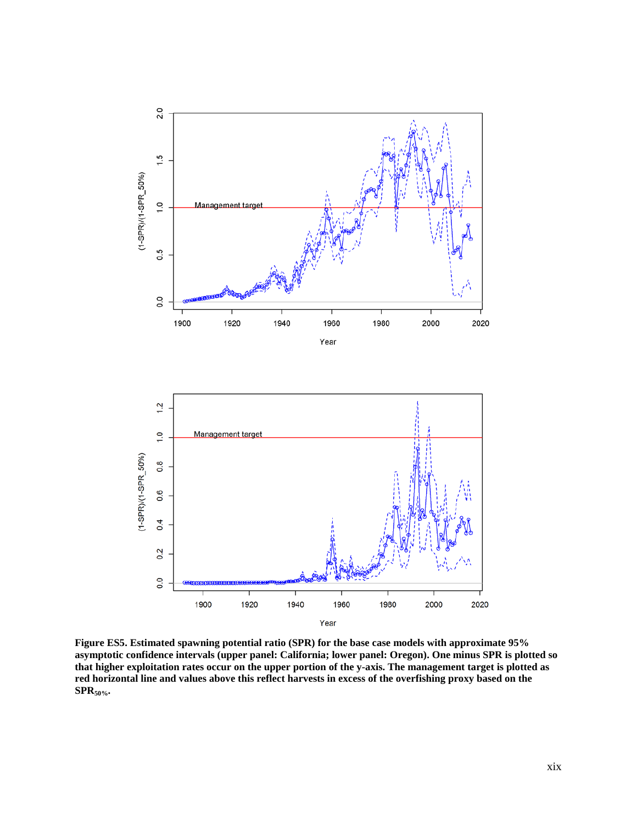

**Figure ES5. Estimated spawning potential ratio (SPR) for the base case models with approximate 95% asymptotic confidence intervals (upper panel: California; lower panel: Oregon). One minus SPR is plotted so that higher exploitation rates occur on the upper portion of the y-axis. The management target is plotted as red horizontal line and values above this reflect harvests in excess of the overfishing proxy based on the SPR50%.**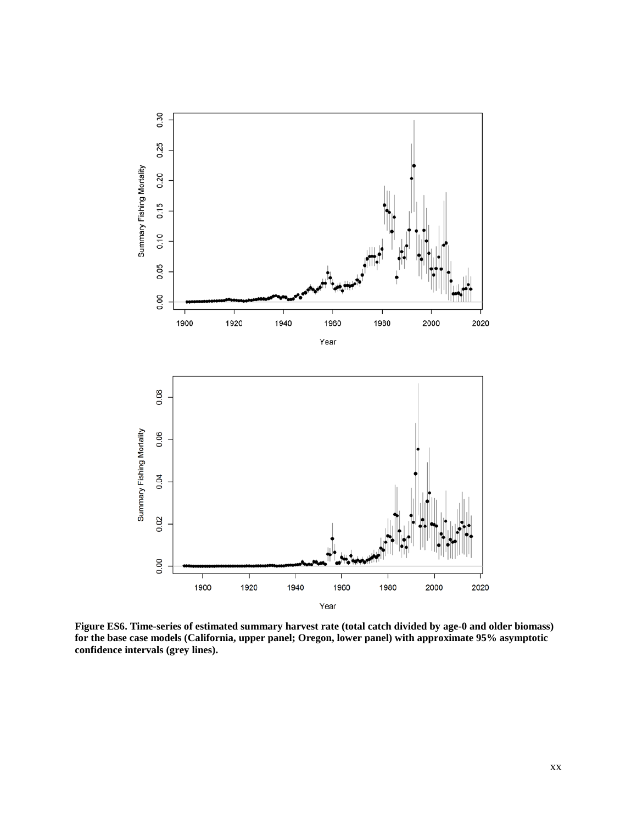

**Figure ES6. Time-series of estimated summary harvest rate (total catch divided by age-0 and older biomass) for the base case models (California, upper panel; Oregon, lower panel) with approximate 95% asymptotic confidence intervals (grey lines).**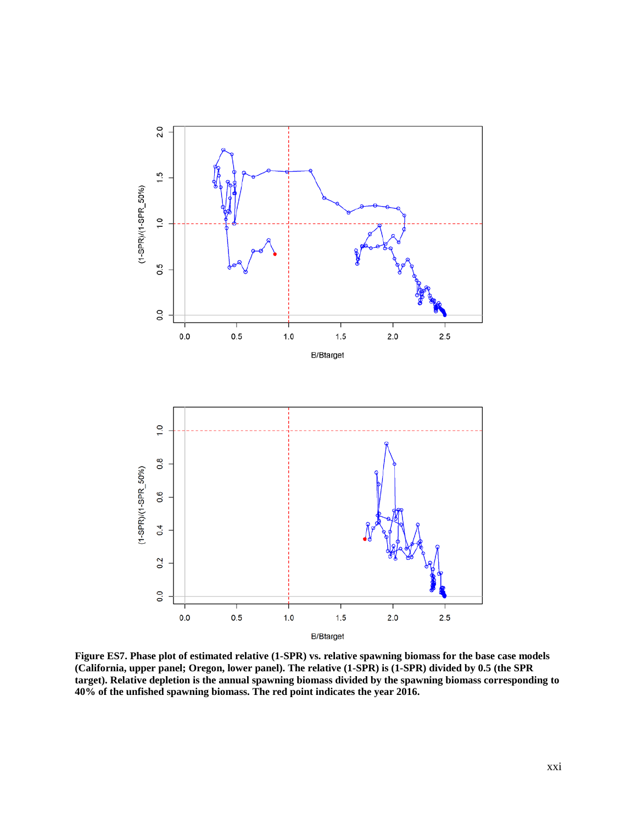

**Figure ES7. Phase plot of estimated relative (1-SPR) vs. relative spawning biomass for the base case models (California, upper panel; Oregon, lower panel). The relative (1-SPR) is (1-SPR) divided by 0.5 (the SPR target). Relative depletion is the annual spawning biomass divided by the spawning biomass corresponding to 40% of the unfished spawning biomass. The red point indicates the year 2016.**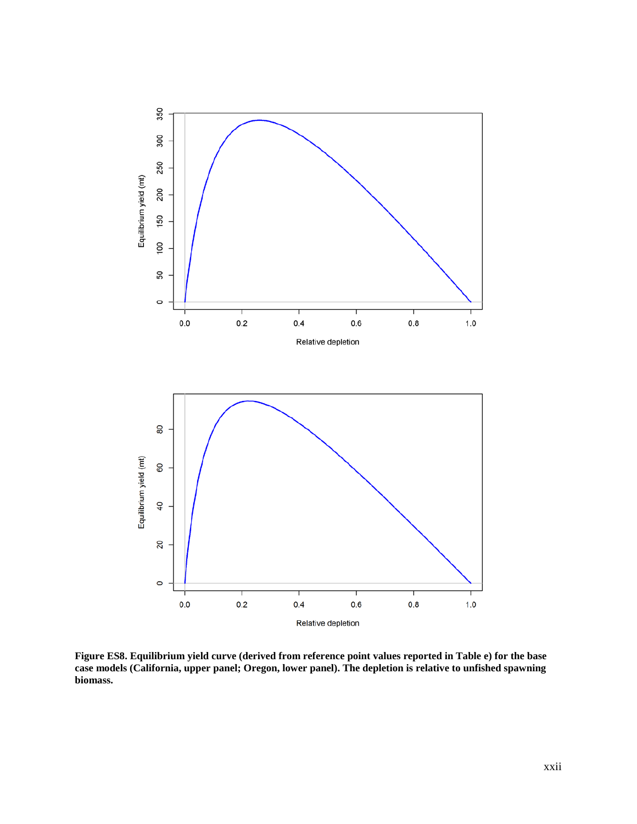

**Figure ES8. Equilibrium yield curve (derived from reference point values reported in Table e) for the base case models (California, upper panel; Oregon, lower panel). The depletion is relative to unfished spawning biomass.**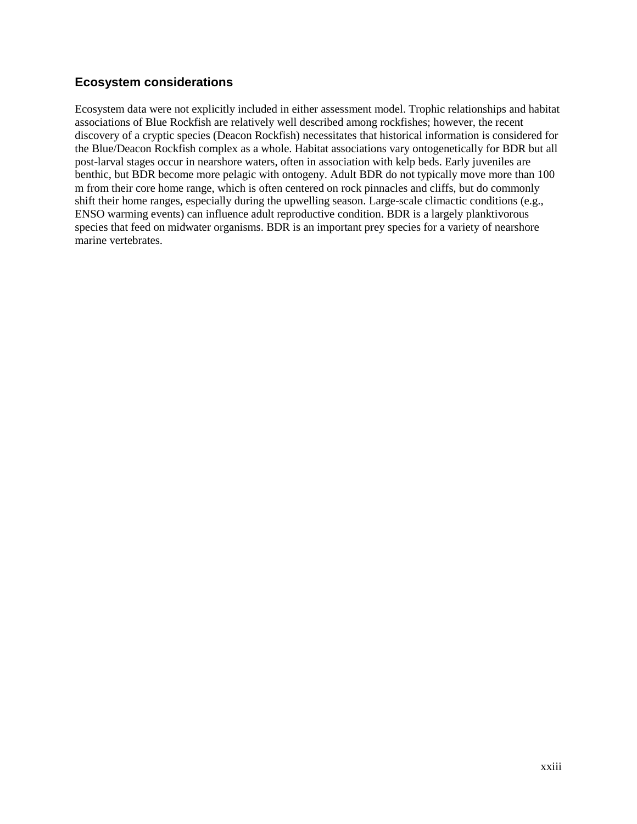## <span id="page-22-0"></span>**Ecosystem considerations**

Ecosystem data were not explicitly included in either assessment model. Trophic relationships and habitat associations of Blue Rockfish are relatively well described among rockfishes; however, the recent discovery of a cryptic species (Deacon Rockfish) necessitates that historical information is considered for the Blue/Deacon Rockfish complex as a whole. Habitat associations vary ontogenetically for BDR but all post-larval stages occur in nearshore waters, often in association with kelp beds. Early juveniles are benthic, but BDR become more pelagic with ontogeny. Adult BDR do not typically move more than 100 m from their core home range, which is often centered on rock pinnacles and cliffs, but do commonly shift their home ranges, especially during the upwelling season. Large-scale climactic conditions (e.g., ENSO warming events) can influence adult reproductive condition. BDR is a largely planktivorous species that feed on midwater organisms. BDR is an important prey species for a variety of nearshore marine vertebrates.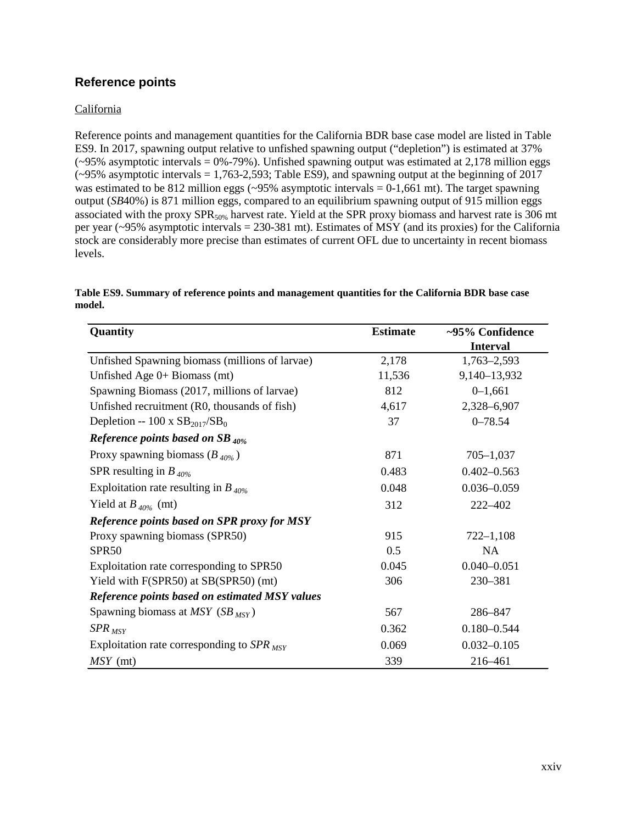## <span id="page-23-0"></span>**Reference points**

#### California

Reference points and management quantities for the California BDR base case model are listed in Table ES9. In 2017, spawning output relative to unfished spawning output ("depletion") is estimated at 37%  $(-95\%$  asymptotic intervals = 0%-79%). Unfished spawning output was estimated at 2,178 million eggs  $(-95\%$  asymptotic intervals = 1,763-2,593; Table ES9), and spawning output at the beginning of 2017 was estimated to be 812 million eggs  $(\sim)5\%$  asymptotic intervals = 0-1,661 mt). The target spawning output (*SB*40%) is 871 million eggs, compared to an equilibrium spawning output of 915 million eggs associated with the proxy SPR<sub>50%</sub> harvest rate. Yield at the SPR proxy biomass and harvest rate is 306 mt per year (~95% asymptotic intervals = 230-381 mt). Estimates of MSY (and its proxies) for the California stock are considerably more precise than estimates of current OFL due to uncertainty in recent biomass levels.

| Quantity                                       | <b>Estimate</b> | ~95% Confidence |
|------------------------------------------------|-----------------|-----------------|
|                                                |                 | <b>Interval</b> |
| Unfished Spawning biomass (millions of larvae) | 2,178           | $1,763 - 2,593$ |
| Unfished Age $0+$ Biomass (mt)                 | 11,536          | 9,140-13,932    |
| Spawning Biomass (2017, millions of larvae)    | 812             | $0 - 1,661$     |
| Unfished recruitment (R0, thousands of fish)   | 4,617           | 2,328-6,907     |
| Depletion -- 100 x $SB_{2017}/SB_0$            | 37              | $0 - 78.54$     |
| Reference points based on SB $_{40\%}$         |                 |                 |
| Proxy spawning biomass $(B_{40\%})$            | 871             | $705 - 1,037$   |
| SPR resulting in $B_{40\%}$                    | 0.483           | $0.402 - 0.563$ |
| Exploitation rate resulting in $B_{40\%}$      | 0.048           | $0.036 - 0.059$ |
| Yield at $B_{40\%}$ (mt)                       | 312             | 222-402         |
| Reference points based on SPR proxy for MSY    |                 |                 |
| Proxy spawning biomass (SPR50)                 | 915             | $722 - 1,108$   |
| SPR <sub>50</sub>                              | 0.5             | <b>NA</b>       |
| Exploitation rate corresponding to SPR50       | 0.045           | $0.040 - 0.051$ |
| Yield with F(SPR50) at SB(SPR50) (mt)          | 306             | 230-381         |
| Reference points based on estimated MSY values |                 |                 |
| Spawning biomass at MSY (SB $_{MSY}$ )         | 567             | 286-847         |
| $SPR_{MSY}$                                    | 0.362           | $0.180 - 0.544$ |
| Exploitation rate corresponding to $SPR_{MSY}$ | 0.069           | $0.032 - 0.105$ |
| $MSY$ (mt)                                     | 339             | 216-461         |

**Table ES9. Summary of reference points and management quantities for the California BDR base case model.**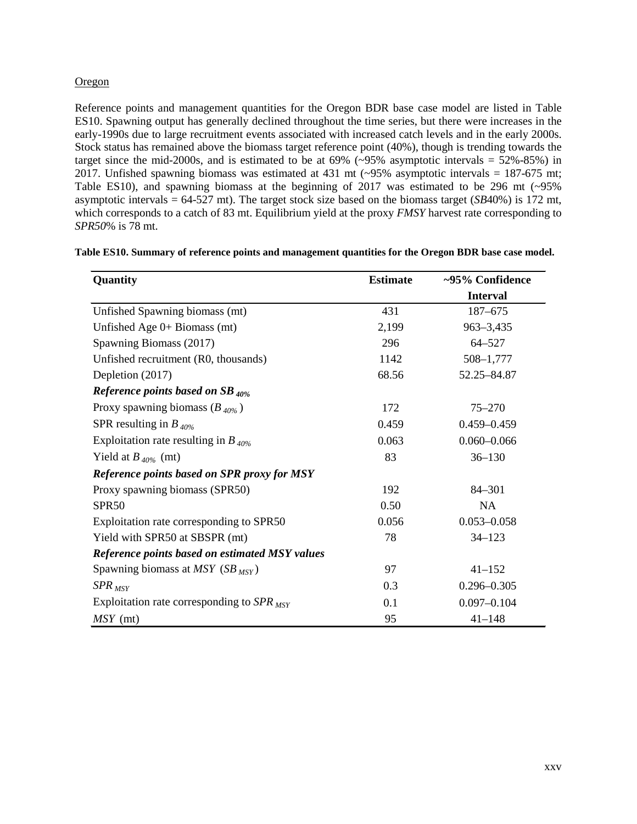#### Oregon

Reference points and management quantities for the Oregon BDR base case model are listed in Table ES10. Spawning output has generally declined throughout the time series, but there were increases in the early-1990s due to large recruitment events associated with increased catch levels and in the early 2000s. Stock status has remained above the biomass target reference point (40%), though is trending towards the target since the mid-2000s, and is estimated to be at  $69\%$  ( $\sim$ 95% asymptotic intervals = 52%-85%) in 2017. Unfished spawning biomass was estimated at 431 mt (~95% asymptotic intervals = 187-675 mt; Table ES10), and spawning biomass at the beginning of 2017 was estimated to be 296 mt (~95% asymptotic intervals = 64-527 mt). The target stock size based on the biomass target (*SB*40%) is 172 mt, which corresponds to a catch of 83 mt. Equilibrium yield at the proxy *FMSY* harvest rate corresponding to *SPR50*% is 78 mt.

| Quantity                                       | <b>Estimate</b> | ~95% Confidence |
|------------------------------------------------|-----------------|-----------------|
|                                                |                 | <b>Interval</b> |
| Unfished Spawning biomass (mt)                 | 431             | 187-675         |
| Unfished Age $0+$ Biomass (mt)                 | 2,199           | $963 - 3,435$   |
| Spawning Biomass (2017)                        | 296             | $64 - 527$      |
| Unfished recruitment (R0, thousands)           | 1142            | 508-1,777       |
| Depletion (2017)                               | 68.56           | 52.25-84.87     |
| Reference points based on SB $_{40\%}$         |                 |                 |
| Proxy spawning biomass $(B_{40\%})$            | 172             | $75 - 270$      |
| SPR resulting in $B_{40\%}$                    | 0.459           | $0.459 - 0.459$ |
| Exploitation rate resulting in $B_{40\%}$      | 0.063           | $0.060 - 0.066$ |
| Yield at $B_{40\%}$ (mt)                       | 83              | $36 - 130$      |
| Reference points based on SPR proxy for MSY    |                 |                 |
| Proxy spawning biomass (SPR50)                 | 192             | 84-301          |
| SPR <sub>50</sub>                              | 0.50            | NA              |
| Exploitation rate corresponding to SPR50       | 0.056           | $0.053 - 0.058$ |
| Yield with SPR50 at SBSPR (mt)                 | 78              | $34 - 123$      |
| Reference points based on estimated MSY values |                 |                 |
| Spawning biomass at MSY (SB $_{MSY}$ )         | 97              | $41 - 152$      |
| $SPR_{MSY}$                                    | 0.3             | $0.296 - 0.305$ |
| Exploitation rate corresponding to $SPR_{MSY}$ | 0.1             | $0.097 - 0.104$ |
| $MSY$ (mt)                                     | 95              | $41 - 148$      |

**Table ES10. Summary of reference points and management quantities for the Oregon BDR base case model.**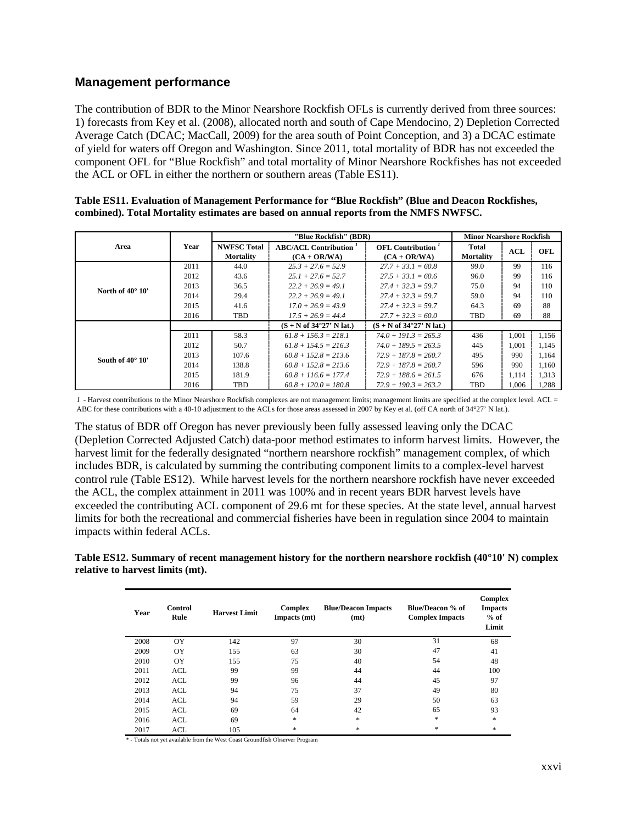## <span id="page-25-0"></span>**Management performance**

The contribution of BDR to the Minor Nearshore Rockfish OFLs is currently derived from three sources: 1) forecasts from Key et al. (2008), allocated north and south of Cape Mendocino, 2) Depletion Corrected Average Catch (DCAC; MacCall, 2009) for the area south of Point Conception, and 3) a DCAC estimate of yield for waters off Oregon and Washington. Since 2011, total mortality of BDR has not exceeded the component OFL for "Blue Rockfish" and total mortality of Minor Nearshore Rockfishes has not exceeded the ACL or OFL in either the northern or southern areas (Table ES11).

|                           |      |                                        | "Blue Rockfish" (BDR)                                      | <b>Minor Nearshore Rockfish</b>                            |                           |            |       |
|---------------------------|------|----------------------------------------|------------------------------------------------------------|------------------------------------------------------------|---------------------------|------------|-------|
| Area                      | Year | <b>NWFSC Total</b><br><b>Mortality</b> | <b>ABC/ACL Contribution</b><br>$(CA + OR/WA)$              | <b>OFL</b> Contribution <sup>1</sup><br>$(CA + OR/WA)$     | Total<br><b>Mortality</b> | <b>ACL</b> | OFL   |
|                           | 2011 | 44.0                                   | $25.3 + 27.6 = 52.9$                                       | $27.7 + 33.1 = 60.8$                                       | 99.0                      | 99         | 116   |
|                           | 2012 | 43.6                                   | $25.1 + 27.6 = 52.7$                                       | $27.5 + 33.1 = 60.6$                                       | 96.0                      | 99         | 116   |
| North of $40^{\circ}$ 10' | 2013 | 36.5                                   | $22.2 + 26.9 = 49.1$                                       | $27.4 + 32.3 = 59.7$                                       | 75.0                      | 94         | 110   |
|                           | 2014 | 29.4                                   | $22.2 + 26.9 = 49.1$                                       | $27.4 + 32.3 = 59.7$                                       | 59.0                      | 94         | 110   |
|                           | 2015 | 41.6                                   | $17.0 + 26.9 = 43.9$                                       | $27.4 + 32.3 = 59.7$                                       | 64.3                      | 69         | 88    |
|                           | 2016 | TBD                                    | $17.5 + 26.9 = 44.4$                                       | $27.7 + 32.3 = 60.0$                                       | TBD                       | 69         | 88    |
|                           |      |                                        | $(S + N \text{ of } 34^{\circ}27' \text{ N} \text{ lat.})$ | $(S + N \text{ of } 34^{\circ}27' \text{ N} \text{ lat.})$ |                           |            |       |
|                           | 2011 | 58.3                                   | $61.8 + 156.3 = 218.1$                                     | $74.0 + 191.3 = 265.3$                                     | 436                       | 1.001      | 1,156 |
|                           | 2012 | 50.7                                   | $61.8 + 154.5 = 216.3$                                     | $74.0 + 189.5 = 263.5$                                     | 445                       | 1.001      | 1,145 |
| South of $40^{\circ}$ 10' | 2013 | 107.6                                  | $60.8 + 152.8 = 213.6$                                     | $72.9 + 187.8 = 260.7$                                     | 495                       | 990        | 1,164 |
|                           | 2014 | 138.8                                  | $60.8 + 152.8 = 213.6$                                     | $72.9 + 187.8 = 260.7$                                     | 596                       | 990        | 1,160 |
|                           | 2015 | 181.9                                  | $60.8 + 116.6 = 177.4$                                     | $72.9 + 188.6 = 261.5$                                     | 676                       | 1,114      | 1,313 |
|                           | 2016 | TBD                                    | $60.8 + 120.0 = 180.8$                                     | $72.9 + 190.3 = 263.2$                                     | TBD                       | 1.006      | 1.288 |

| Table ES11. Evaluation of Management Performance for "Blue Rockfish" (Blue and Deacon Rockfishes, |  |
|---------------------------------------------------------------------------------------------------|--|
| combined). Total Mortality estimates are based on annual reports from the NMFS NWFSC.             |  |

*1* - Harvest contributions to the Minor Nearshore Rockfish complexes are not management limits; management limits are specified at the complex level. ACL = ABC for these contributions with a 40-10 adjustment to the ACLs for those areas assessed in 2007 by Key et al. (off CA north of 34°27' N lat.).

The status of BDR off Oregon has never previously been fully assessed leaving only the DCAC (Depletion Corrected Adjusted Catch) data-poor method estimates to inform harvest limits. However, the harvest limit for the federally designated "northern nearshore rockfish" management complex, of which includes BDR, is calculated by summing the contributing component limits to a complex-level harvest control rule (Table ES12). While harvest levels for the northern nearshore rockfish have never exceeded the ACL, the complex attainment in 2011 was 100% and in recent years BDR harvest levels have exceeded the contributing ACL component of 29.6 mt for these species. At the state level, annual harvest limits for both the recreational and commercial fisheries have been in regulation since 2004 to maintain impacts within federal ACLs.

**Table ES12. Summary of recent management history for the northern nearshore rockfish (40°10' N) complex relative to harvest limits (mt).**

| Year | Control<br>Rule | <b>Harvest Limit</b> | <b>Complex</b><br>Impacts (mt)    | <b>Blue/Deacon Impacts</b><br>(mt) | Blue/Deacon % of<br><b>Complex Impacts</b> | Complex<br><b>Impacts</b><br>$%$ of<br>Limit |
|------|-----------------|----------------------|-----------------------------------|------------------------------------|--------------------------------------------|----------------------------------------------|
| 2008 | OY              | 142                  | 97                                | 30                                 | 31                                         | 68                                           |
| 2009 | OY              | 155                  | 63                                | 30                                 | 47                                         | 41                                           |
| 2010 | OY              | 155                  | 75                                | 40                                 | 54                                         | 48                                           |
| 2011 | <b>ACL</b>      | 99                   | 99                                | 44                                 | 44                                         | 100                                          |
| 2012 | <b>ACL</b>      | 99                   | 96                                | 44                                 | 45                                         | 97                                           |
| 2013 | <b>ACL</b>      | 94                   | 75                                | 37                                 | 49                                         | 80                                           |
| 2014 | <b>ACL</b>      | 94                   | 59                                | 29                                 | 50                                         | 63                                           |
| 2015 | <b>ACL</b>      | 69                   | 64                                | 42                                 | 65                                         | 93                                           |
| 2016 | <b>ACL</b>      | 69                   | $\frac{d\mathbf{x}}{d\mathbf{x}}$ | *                                  | *                                          | *                                            |
| 2017 | <b>ACL</b>      | 105                  | *                                 | *                                  | *                                          | *                                            |

\* - Totals not yet available from the West Coast Groundfish Observer Program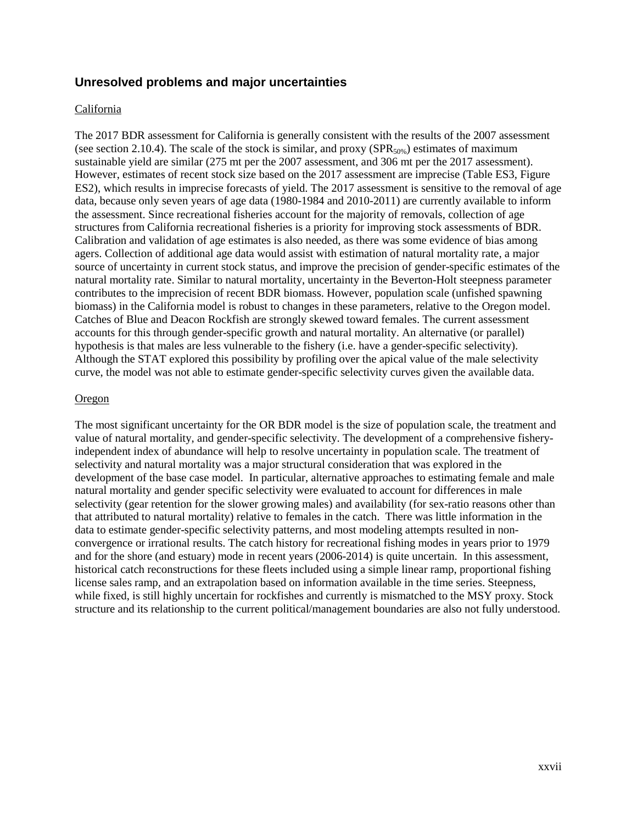## <span id="page-26-0"></span>**Unresolved problems and major uncertainties**

#### California

The 2017 BDR assessment for California is generally consistent with the results of the 2007 assessment (see section 2.10.4). The scale of the stock is similar, and proxy ( $SPR<sub>50%</sub>$ ) estimates of maximum sustainable yield are similar (275 mt per the 2007 assessment, and 306 mt per the 2017 assessment). However, estimates of recent stock size based on the 2017 assessment are imprecise (Table ES3, Figure ES2), which results in imprecise forecasts of yield. The 2017 assessment is sensitive to the removal of age data, because only seven years of age data (1980-1984 and 2010-2011) are currently available to inform the assessment. Since recreational fisheries account for the majority of removals, collection of age structures from California recreational fisheries is a priority for improving stock assessments of BDR. Calibration and validation of age estimates is also needed, as there was some evidence of bias among agers. Collection of additional age data would assist with estimation of natural mortality rate, a major source of uncertainty in current stock status, and improve the precision of gender-specific estimates of the natural mortality rate. Similar to natural mortality, uncertainty in the Beverton-Holt steepness parameter contributes to the imprecision of recent BDR biomass. However, population scale (unfished spawning biomass) in the California model is robust to changes in these parameters, relative to the Oregon model. Catches of Blue and Deacon Rockfish are strongly skewed toward females. The current assessment accounts for this through gender-specific growth and natural mortality. An alternative (or parallel) hypothesis is that males are less vulnerable to the fishery (i.e. have a gender-specific selectivity). Although the STAT explored this possibility by profiling over the apical value of the male selectivity curve, the model was not able to estimate gender-specific selectivity curves given the available data.

#### Oregon

The most significant uncertainty for the OR BDR model is the size of population scale, the treatment and value of natural mortality, and gender-specific selectivity. The development of a comprehensive fisheryindependent index of abundance will help to resolve uncertainty in population scale. The treatment of selectivity and natural mortality was a major structural consideration that was explored in the development of the base case model. In particular, alternative approaches to estimating female and male natural mortality and gender specific selectivity were evaluated to account for differences in male selectivity (gear retention for the slower growing males) and availability (for sex-ratio reasons other than that attributed to natural mortality) relative to females in the catch. There was little information in the data to estimate gender-specific selectivity patterns, and most modeling attempts resulted in nonconvergence or irrational results. The catch history for recreational fishing modes in years prior to 1979 and for the shore (and estuary) mode in recent years (2006-2014) is quite uncertain. In this assessment, historical catch reconstructions for these fleets included using a simple linear ramp, proportional fishing license sales ramp, and an extrapolation based on information available in the time series. Steepness, while fixed, is still highly uncertain for rockfishes and currently is mismatched to the MSY proxy. Stock structure and its relationship to the current political/management boundaries are also not fully understood.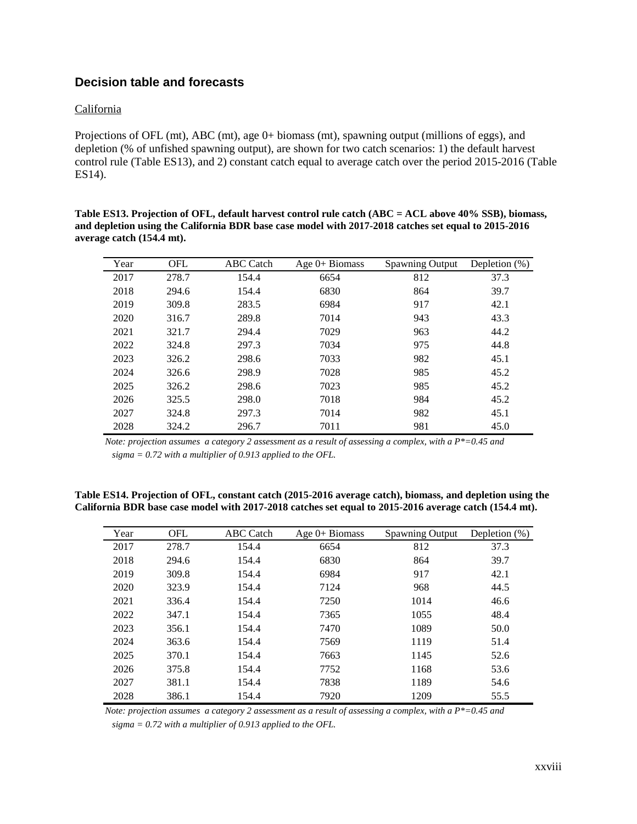## <span id="page-27-0"></span>**Decision table and forecasts**

#### California

Projections of OFL (mt), ABC (mt), age 0+ biomass (mt), spawning output (millions of eggs), and depletion (% of unfished spawning output), are shown for two catch scenarios: 1) the default harvest control rule (Table ES13), and 2) constant catch equal to average catch over the period 2015-2016 (Table ES14).

**Table ES13. Projection of OFL, default harvest control rule catch (ABC = ACL above 40% SSB), biomass, and depletion using the California BDR base case model with 2017-2018 catches set equal to 2015-2016 average catch (154.4 mt).**

| Year | <b>OFL</b> | <b>ABC</b> Catch | Age $0+$ Biomass | <b>Spawning Output</b> | Depletion $(\%)$ |
|------|------------|------------------|------------------|------------------------|------------------|
| 2017 | 278.7      | 154.4            | 6654             | 812                    | 37.3             |
| 2018 | 294.6      | 154.4            | 6830             | 864                    | 39.7             |
| 2019 | 309.8      | 283.5            | 6984             | 917                    | 42.1             |
| 2020 | 316.7      | 289.8            | 7014             | 943                    | 43.3             |
| 2021 | 321.7      | 294.4            | 7029             | 963                    | 44.2             |
| 2022 | 324.8      | 297.3            | 7034             | 975                    | 44.8             |
| 2023 | 326.2      | 298.6            | 7033             | 982                    | 45.1             |
| 2024 | 326.6      | 298.9            | 7028             | 985                    | 45.2             |
| 2025 | 326.2      | 298.6            | 7023             | 985                    | 45.2             |
| 2026 | 325.5      | 298.0            | 7018             | 984                    | 45.2             |
| 2027 | 324.8      | 297.3            | 7014             | 982                    | 45.1             |
| 2028 | 324.2      | 296.7            | 7011             | 981                    | 45.0             |

*Note: projection assumes a category 2 assessment as a result of assessing a complex, with a P\*=0.45 and sigma = 0.72 with a multiplier of 0.913 applied to the OFL.*

**Table ES14. Projection of OFL, constant catch (2015-2016 average catch), biomass, and depletion using the California BDR base case model with 2017-2018 catches set equal to 2015-2016 average catch (154.4 mt).**

| Year | <b>OFL</b> | <b>ABC</b> Catch | Age $0+$ Biomass | <b>Spawning Output</b> | Depletion $(\%)$ |
|------|------------|------------------|------------------|------------------------|------------------|
| 2017 | 278.7      | 154.4            | 6654             | 812                    | 37.3             |
| 2018 | 294.6      | 154.4            | 6830             | 864                    | 39.7             |
| 2019 | 309.8      | 154.4            | 6984             | 917                    | 42.1             |
| 2020 | 323.9      | 154.4            | 7124             | 968                    | 44.5             |
| 2021 | 336.4      | 154.4            | 7250             | 1014                   | 46.6             |
| 2022 | 347.1      | 154.4            | 7365             | 1055                   | 48.4             |
| 2023 | 356.1      | 154.4            | 7470             | 1089                   | 50.0             |
| 2024 | 363.6      | 154.4            | 7569             | 1119                   | 51.4             |
| 2025 | 370.1      | 154.4            | 7663             | 1145                   | 52.6             |
| 2026 | 375.8      | 154.4            | 7752             | 1168                   | 53.6             |
| 2027 | 381.1      | 154.4            | 7838             | 1189                   | 54.6             |
| 2028 | 386.1      | 154.4            | 7920             | 1209                   | 55.5             |

*Note: projection assumes a category 2 assessment as a result of assessing a complex, with a P\*=0.45 and sigma = 0.72 with a multiplier of 0.913 applied to the OFL.*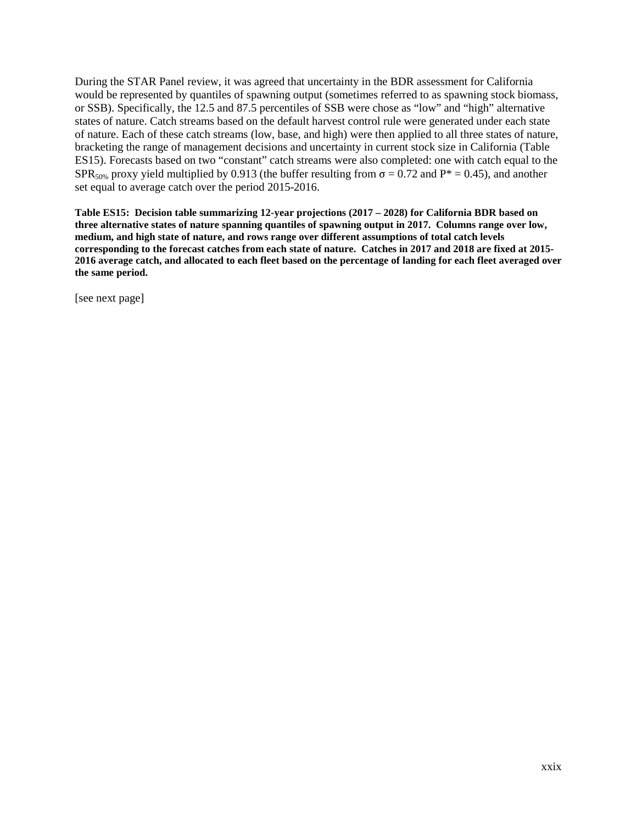During the STAR Panel review, it was agreed that uncertainty in the BDR assessment for California would be represented by quantiles of spawning output (sometimes referred to as spawning stock biomass, or SSB). Specifically, the 12.5 and 87.5 percentiles of SSB were chose as "low" and "high" alternative states of nature. Catch streams based on the default harvest control rule were generated under each state of nature. Each of these catch streams (low, base, and high) were then applied to all three states of nature, bracketing the range of management decisions and uncertainty in current stock size in California (Table ES15). Forecasts based on two "constant" catch streams were also completed: one with catch equal to the SPR<sub>50%</sub> proxy yield multiplied by 0.913 (the buffer resulting from  $\sigma = 0.72$  and P<sup>\*</sup> = 0.45), and another set equal to average catch over the period 2015-2016.

**Table ES15: Decision table summarizing 12-year projections (2017 – 2028) for California BDR based on three alternative states of nature spanning quantiles of spawning output in 2017. Columns range over low, medium, and high state of nature, and rows range over different assumptions of total catch levels corresponding to the forecast catches from each state of nature. Catches in 2017 and 2018 are fixed at 2015- 2016 average catch, and allocated to each fleet based on the percentage of landing for each fleet averaged over the same period.**

[see next page]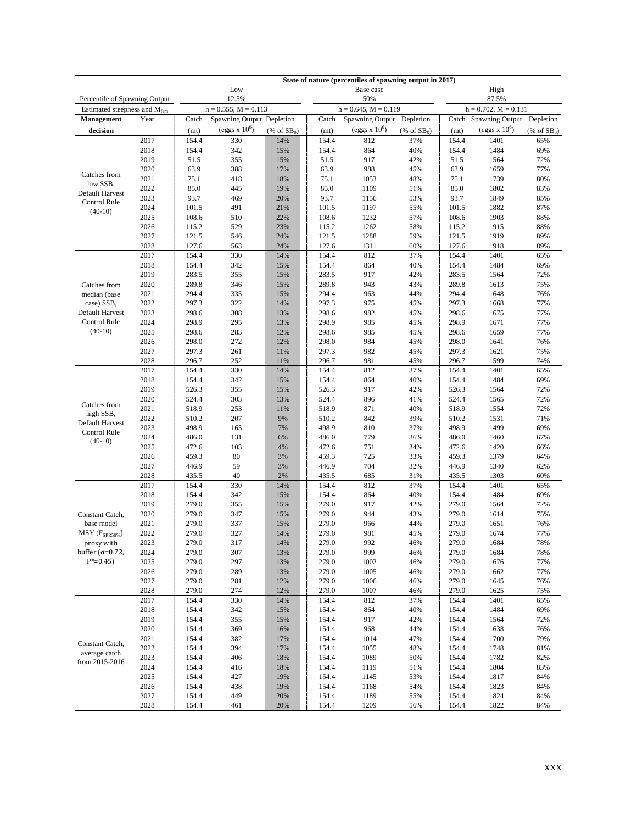|                                 |              |                |                           |                             |                | State of nature (percentiles of spawning output in 2017) |                                |                |                           |                             |  |
|---------------------------------|--------------|----------------|---------------------------|-----------------------------|----------------|----------------------------------------------------------|--------------------------------|----------------|---------------------------|-----------------------------|--|
|                                 |              |                | Low                       |                             |                | Base case                                                |                                |                | High                      |                             |  |
| Percentile of Spawning Output   |              |                | 12.5%                     |                             |                | 50%                                                      |                                | 87.5%          |                           |                             |  |
| Estimated steepness and Mfem    |              |                | $h = 0.555$ , $M = 0.113$ |                             |                | $h = 0.645$ , $M = 0.119$                                |                                |                | $h = 0.702$ , $M = 0.131$ |                             |  |
| Management                      | Year         | Catch          | Spawning Output Depletion |                             | Catch          | Spawning Output Depletion                                |                                |                | Catch Spawning Output     | Depletion                   |  |
| decision                        |              | (mt)           | $\text{(eggs x } 10^6)$   | $(% ^{66}C_1$ (% of $SB0$ ) | (mt)           | $\left($ eggs x $10^6\right)$                            | $(% \mathbf{A})$ (% of $SB0$ ) | (mt)           | (eggs $x 10^6$ )          | $(% ^{66}C_1$ (% of $SB0$ ) |  |
|                                 | 2017         | 154.4          | 330                       | 14%                         | 154.4          | 812                                                      | 37%                            | 154.4          | 1401                      | 65%                         |  |
|                                 | 2018         | 154.4          | 342                       | 15%                         | 154.4          | 864                                                      | 40%                            | 154.4          | 1484                      | 69%                         |  |
|                                 | 2019<br>2020 | 51.5<br>63.9   | 355<br>388                | 15%<br>17%                  | 51.5<br>63.9   | 917<br>988                                               | 42%<br>45%                     | 51.5<br>63.9   | 1564<br>1659              | 72%<br>77%                  |  |
| Catches from                    | 2021         | 75.1           | 418                       | 18%                         | 75.1           | 1053                                                     | 48%                            | 75.1           | 1739                      | 80%                         |  |
| low SSB,                        | 2022         | 85.0           | 445                       | 19%                         | 85.0           | 1109                                                     | 51%                            | 85.0           | 1802                      | 83%                         |  |
| Default Harvest                 | 2023         | 93.7           | 469                       | 20%                         | 93.7           | 1156                                                     | 53%                            | 93.7           | 1849                      | 85%                         |  |
| Control Rule                    | 2024         | 101.5          | 491                       | 21%                         | 101.5          | 1197                                                     | 55%                            | 101.5          | 1882                      | 87%                         |  |
| $(40-10)$                       | 2025         | 108.6          | 510                       | 22%                         | 108.6          | 1232                                                     | 57%                            | 108.6          | 1903                      | 88%                         |  |
|                                 | 2026         | 115.2          | 529                       | 23%                         | 115.2          | 1262                                                     | 58%                            | 115.2          | 1915                      | 88%                         |  |
|                                 | 2027         | 121.5          | 546                       | 24%                         | 121.5          | 1288                                                     | 59%                            | 121.5          | 1919                      | 89%                         |  |
|                                 | 2028         | 127.6          | 563                       | 24%                         | 127.6          | 1311                                                     | 60%                            | 127.6          | 1918                      | 89%                         |  |
|                                 | 2017         | 154.4          | 330                       | 14%                         | 154.4          | 812                                                      | 37%                            | 154.4          | 1401                      | 65%                         |  |
|                                 | 2018         | 154.4          | 342                       | 15%                         | 154.4          | 864                                                      | 40%                            | 154.4          | 1484                      | 69%                         |  |
|                                 | 2019         | 283.5          | 355                       | 15%                         | 283.5          | 917                                                      | 42%                            | 283.5          | 1564                      | 72%                         |  |
| Catches from                    | 2020         | 289.8          | 346                       | 15%                         | 289.8          | 943                                                      | 43%                            | 289.8          | 1613                      | 75%                         |  |
| median (base                    | 2021         | 294.4          | 335                       | 15%                         | 294.4          | 963                                                      | 44%                            | 294.4          | 1648                      | 76%                         |  |
| case) SSB,<br>Default Harvest   | 2022         | 297.3          | 322                       | 14%                         | 297.3          | 975                                                      | 45%                            | 297.3          | 1668                      | 77%                         |  |
| Control Rule                    | 2023<br>2024 | 298.6<br>298.9 | 308<br>295                | 13%<br>13%                  | 298.6<br>298.9 | 982<br>985                                               | 45%<br>45%                     | 298.6<br>298.9 | 1675<br>1671              | 77%<br>77%                  |  |
| $(40-10)$                       | 2025         | 298.6          | 283                       | 12%                         | 298.6          | 985                                                      | 45%                            | 298.6          | 1659                      | 77%                         |  |
|                                 | 2026         | 298.0          | 272                       | 12%                         | 298.0          | 984                                                      | 45%                            | 298.0          | 1641                      | 76%                         |  |
|                                 | 2027         | 297.3          | 261                       | 11%                         | 297.3          | 982                                                      | 45%                            | 297.3          | 1621                      | 75%                         |  |
|                                 | 2028         | 296.7          | 252                       | 11%                         | 296.7          | 981                                                      | 45%                            | 296.7          | 1599                      | 74%                         |  |
|                                 | 2017         | 154.4          | 330                       | 14%                         | 154.4          | 812                                                      | 37%                            | 154.4          | 1401                      | 65%                         |  |
|                                 | 2018         | 154.4          | 342                       | 15%                         | 154.4          | 864                                                      | 40%                            | 154.4          | 1484                      | 69%                         |  |
|                                 | 2019         | 526.3          | 355                       | 15%                         | 526.3          | 917                                                      | 42%                            | 526.3          | 1564                      | 72%                         |  |
| Catches from                    | 2020         | 524.4          | 303                       | 13%                         | 524.4          | 896                                                      | 41%                            | 524.4          | 1565                      | 72%                         |  |
| high SSB,                       | 2021         | 518.9          | 253                       | 11%                         | 518.9          | 871                                                      | 40%                            | 518.9          | 1554                      | 72%                         |  |
| Default Harvest                 | 2022         | 510.2          | 207                       | 9%                          | 510.2          | 842                                                      | 39%                            | 510.2          | 1531                      | 71%                         |  |
| Control Rule                    | 2023         | 498.9          | 165                       | 7%                          | 498.9          | 810                                                      | 37%                            | 498.9          | 1499                      | 69%                         |  |
| $(40-10)$                       | 2024<br>2025 | 486.0<br>472.6 | 131<br>103                | 6%<br>4%                    | 486.0<br>472.6 | 779<br>751                                               | 36%<br>34%                     | 486.0<br>472.6 | 1460<br>1420              | 67%<br>66%                  |  |
|                                 | 2026         | 459.3          | 80                        | 3%                          | 459.3          | 725                                                      | 33%                            | 459.3          | 1379                      | 64%                         |  |
|                                 | 2027         | 446.9          | 59                        | 3%                          | 446.9          | 704                                                      | 32%                            | 446.9          | 1340                      | 62%                         |  |
|                                 | 2028         | 435.5          | 40                        | 2%                          | 435.5          | 685                                                      | 31%                            | 435.5          | 1303                      | 60%                         |  |
|                                 | 2017         | 154.4          | 330                       | 14%                         | 154.4          | 812                                                      | 37%                            | 154.4          | 1401                      | 65%                         |  |
|                                 | 2018         | 154.4          | 342                       | 15%                         | 154.4          | 864                                                      | 40%                            | 154.4          | 1484                      | 69%                         |  |
|                                 | 2019         | 279.0          | 355                       | 15%                         | 279.0          | 917                                                      | 42%                            | 279.0          | 1564                      | 72%                         |  |
| Constant Catch,                 | 2020         | 279.0          | 347                       | 15%                         | 279.0          | 944                                                      | 43%                            | 279.0          | 1614                      | 75%                         |  |
| base model                      | 2021         | 279.0          | 337                       | 15%                         | 279.0          | 966                                                      | 44%                            | 279.0          | 1651                      | 76%                         |  |
| $MSY$ ( $F_{SPR50\%}$ )         | 2022         | 279.0          | 327                       | 14%                         | 279.0          | 981                                                      | 45%                            | 279.0          | 1674                      | 77%                         |  |
| proxy with                      | 2023         | 279.0          | 317                       | 14%                         | 279.0          | 992                                                      | 46%                            | 279.0          | 1684                      | 78%                         |  |
| buffer ( $\sigma$ =0.72,        | 2024         | 279.0          | 307                       | 13%                         | 279.0          | 999                                                      | 46%                            | 279.0          | 1684                      | 78%                         |  |
| $P^* = 0.45$                    | 2025         | 279.0          | 297                       | 13%                         | 279.0          | 1002                                                     | 46%                            | 279.0          | 1676                      | 77%                         |  |
|                                 | 2026<br>2027 | 279.0<br>279.0 | 289                       | 13%                         | 279.0<br>279.0 | 1005                                                     | 46%<br>46%                     | 279.0<br>279.0 | 1662<br>1645              | 77%<br>76%                  |  |
|                                 | 2028         | 279.0          | 281<br>274                | 12%<br>12%                  | 279.0          | 1006<br>1007                                             | 46%                            | 279.0          | 1625                      | 75%                         |  |
|                                 | 2017         | 154.4          | 330                       | 14%                         | 154.4          | 812                                                      | 37%                            | 154.4          | 1401                      | 65%                         |  |
|                                 | 2018         | 154.4          | 342                       | 15%                         | 154.4          | 864                                                      | 40%                            | 154.4          | 1484                      | 69%                         |  |
|                                 | 2019         | 154.4          | 355                       | 15%                         | 154.4          | 917                                                      | 42%                            | 154.4          | 1564                      | 72%                         |  |
|                                 | 2020         | 154.4          | 369                       | 16%                         | 154.4          | 968                                                      | 44%                            | 154.4          | 1638                      | 76%                         |  |
|                                 | 2021         | 154.4          | 382                       | 17%                         | 154.4          | 1014                                                     | 47%                            | 154.4          | 1700                      | 79%                         |  |
| Constant Catch,                 | 2022         | 154.4          | 394                       | 17%                         | 154.4          | 1055                                                     | 48%                            | 154.4          | 1748                      | 81%                         |  |
| average catch<br>from 2015-2016 | 2023         | 154.4          | 406                       | 18%                         | 154.4          | 1089                                                     | 50%                            | 154.4          | 1782                      | 82%                         |  |
|                                 | 2024         | 154.4          | 416                       | 18%                         | 154.4          | 1119                                                     | 51%                            | 154.4          | 1804                      | 83%                         |  |
|                                 | 2025         | 154.4          | 427                       | 19%                         | 154.4          | 1145                                                     | 53%                            | 154.4          | 1817                      | 84%                         |  |
|                                 | 2026         | 154.4          | 438                       | 19%                         | 154.4          | 1168                                                     | 54%                            | 154.4          | 1823                      | 84%                         |  |
|                                 | 2027         | 154.4          | 449                       | 20%                         | 154.4          | 1189                                                     | 55%                            | 154.4          | 1824                      | 84%                         |  |
|                                 | 2028         | 154.4          | 461                       | 20%                         | 154.4          | 1209                                                     | 56%                            | 154.4          | 1822                      | 84%                         |  |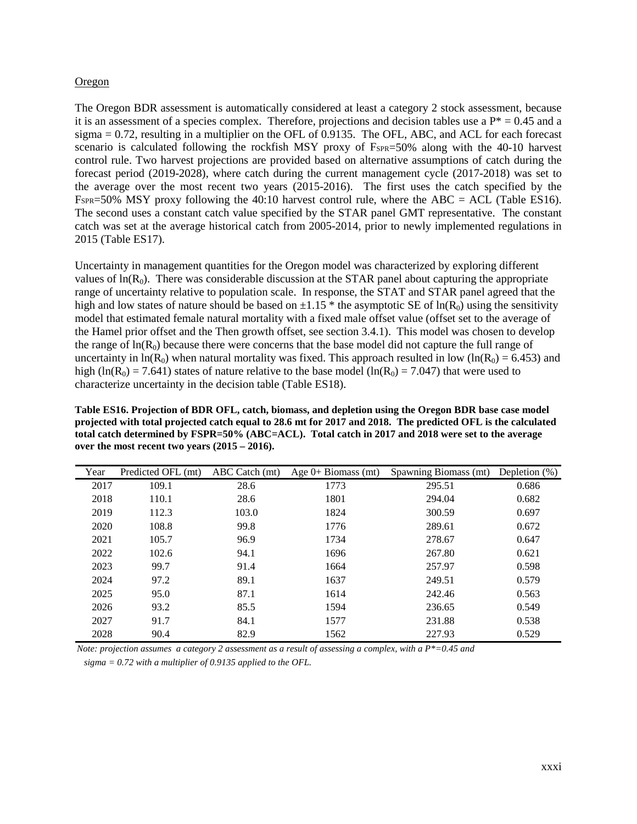#### Oregon

The Oregon BDR assessment is automatically considered at least a category 2 stock assessment, because it is an assessment of a species complex. Therefore, projections and decision tables use a  $P^* = 0.45$  and a  $sigma = 0.72$ , resulting in a multiplier on the OFL of 0.9135. The OFL, ABC, and ACL for each forecast scenario is calculated following the rockfish MSY proxy of F<sub>SPR</sub>=50% along with the 40-10 harvest control rule. Two harvest projections are provided based on alternative assumptions of catch during the forecast period (2019-2028), where catch during the current management cycle (2017-2018) was set to the average over the most recent two years (2015-2016). The first uses the catch specified by the FSPR=50% MSY proxy following the 40:10 harvest control rule, where the ABC = ACL (Table ES16). The second uses a constant catch value specified by the STAR panel GMT representative. The constant catch was set at the average historical catch from 2005-2014, prior to newly implemented regulations in 2015 (Table ES17).

Uncertainty in management quantities for the Oregon model was characterized by exploring different values of  $ln(R_0)$ . There was considerable discussion at the STAR panel about capturing the appropriate range of uncertainty relative to population scale. In response, the STAT and STAR panel agreed that the high and low states of nature should be based on  $\pm 1.15$  \* the asymptotic SE of ln(R<sub>0</sub>) using the sensitivity model that estimated female natural mortality with a fixed male offset value (offset set to the average of the Hamel prior offset and the Then growth offset, see section 3.4.1). This model was chosen to develop the range of  $ln(R_0)$  because there were concerns that the base model did not capture the full range of uncertainty in ln(R<sub>0</sub>) when natural mortality was fixed. This approach resulted in low (ln(R<sub>0</sub>) = 6.453) and high (ln(R<sub>0</sub>) = 7.641) states of nature relative to the base model (ln(R<sub>0</sub>) = 7.047) that were used to characterize uncertainty in the decision table (Table ES18).

**Table ES16. Projection of BDR OFL, catch, biomass, and depletion using the Oregon BDR base case model projected with total projected catch equal to 28.6 mt for 2017 and 2018. The predicted OFL is the calculated total catch determined by FSPR=50% (ABC=ACL). Total catch in 2017 and 2018 were set to the average over the most recent two years (2015 – 2016).**

| Year | Predicted OFL (mt) | ABC Catch (mt) | Age $0+$ Biomass (mt) | Spawning Biomass (mt) | Depletion $(\%)$ |
|------|--------------------|----------------|-----------------------|-----------------------|------------------|
| 2017 | 109.1              | 28.6           | 1773                  | 295.51                | 0.686            |
| 2018 | 110.1              | 28.6           | 1801                  | 294.04                | 0.682            |
| 2019 | 112.3              | 103.0          | 1824                  | 300.59                | 0.697            |
| 2020 | 108.8              | 99.8           | 1776                  | 289.61                | 0.672            |
| 2021 | 105.7              | 96.9           | 1734                  | 278.67                | 0.647            |
| 2022 | 102.6              | 94.1           | 1696                  | 267.80                | 0.621            |
| 2023 | 99.7               | 91.4           | 1664                  | 257.97                | 0.598            |
| 2024 | 97.2               | 89.1           | 1637                  | 249.51                | 0.579            |
| 2025 | 95.0               | 87.1           | 1614                  | 242.46                | 0.563            |
| 2026 | 93.2               | 85.5           | 1594                  | 236.65                | 0.549            |
| 2027 | 91.7               | 84.1           | 1577                  | 231.88                | 0.538            |
| 2028 | 90.4               | 82.9           | 1562                  | 227.93                | 0.529            |

*Note: projection assumes a category 2 assessment as a result of assessing a complex, with a P\*=0.45 and* 

 *sigma = 0.72 with a multiplier of 0.9135 applied to the OFL.*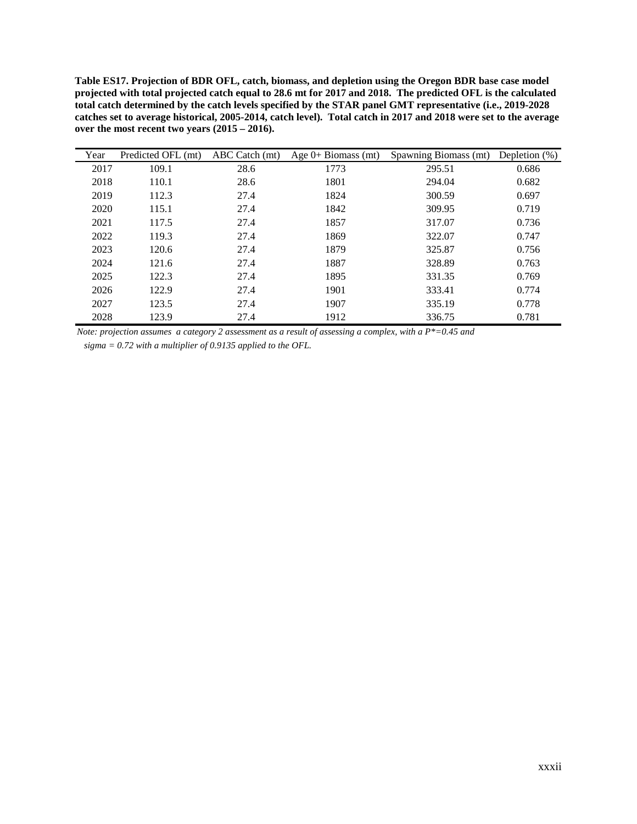**Table ES17. Projection of BDR OFL, catch, biomass, and depletion using the Oregon BDR base case model projected with total projected catch equal to 28.6 mt for 2017 and 2018. The predicted OFL is the calculated total catch determined by the catch levels specified by the STAR panel GMT representative (i.e., 2019-2028 catches set to average historical, 2005-2014, catch level). Total catch in 2017 and 2018 were set to the average over the most recent two years (2015 – 2016).**

| Year | Predicted OFL (mt) | ABC Catch (mt) | Age $0+$ Biomass (mt) | Spawning Biomass (mt) | Depletion $(\%)$ |
|------|--------------------|----------------|-----------------------|-----------------------|------------------|
| 2017 | 109.1              | 28.6           | 1773                  | 295.51                | 0.686            |
| 2018 | 110.1              | 28.6           | 1801                  | 294.04                | 0.682            |
| 2019 | 112.3              | 27.4           | 1824                  | 300.59                | 0.697            |
| 2020 | 115.1              | 27.4           | 1842                  | 309.95                | 0.719            |
| 2021 | 117.5              | 27.4           | 1857                  | 317.07                | 0.736            |
| 2022 | 119.3              | 27.4           | 1869                  | 322.07                | 0.747            |
| 2023 | 120.6              | 27.4           | 1879                  | 325.87                | 0.756            |
| 2024 | 121.6              | 27.4           | 1887                  | 328.89                | 0.763            |
| 2025 | 122.3              | 27.4           | 1895                  | 331.35                | 0.769            |
| 2026 | 122.9              | 27.4           | 1901                  | 333.41                | 0.774            |
| 2027 | 123.5              | 27.4           | 1907                  | 335.19                | 0.778            |
| 2028 | 123.9              | 27.4           | 1912                  | 336.75                | 0.781            |

*Note: projection assumes a category 2 assessment as a result of assessing a complex, with a P\*=0.45 and* 

 *sigma = 0.72 with a multiplier of 0.9135 applied to the OFL.*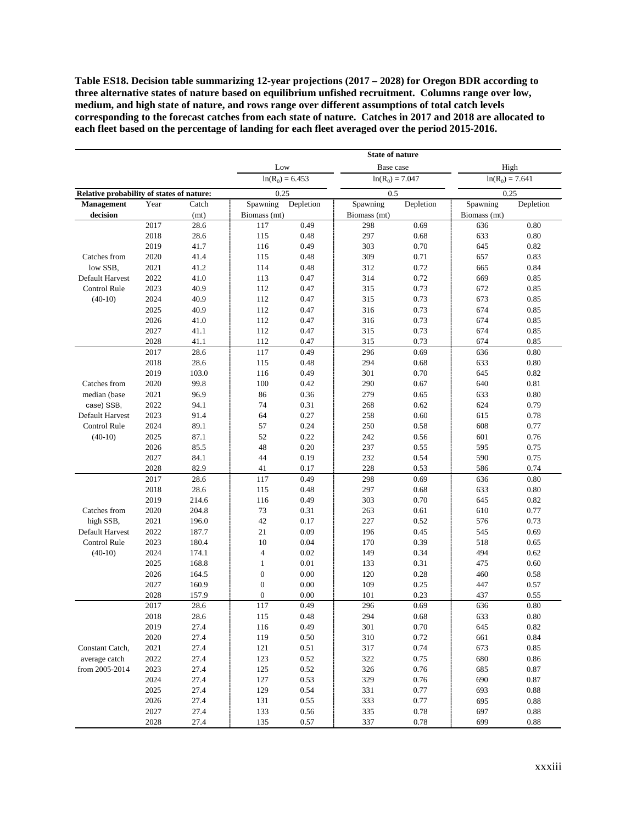**Table ES18. Decision table summarizing 12-year projections (2017 – 2028) for Oregon BDR according to three alternative states of nature based on equilibrium unfished recruitment. Columns range over low, medium, and high state of nature, and rows range over different assumptions of total catch levels corresponding to the forecast catches from each state of nature. Catches in 2017 and 2018 are allocated to each fleet based on the percentage of landing for each fleet averaged over the period 2015-2016.**

|                                           |      |       |                  |                   | <b>State of nature</b> |           |                   |            |
|-------------------------------------------|------|-------|------------------|-------------------|------------------------|-----------|-------------------|------------|
|                                           |      |       | Low              |                   | Base case              |           | High              |            |
|                                           |      |       |                  | $ln(R_0) = 6.453$ | $ln(R_0) = 7.047$      |           | $ln(R_0) = 7.641$ |            |
| Relative probability of states of nature: |      |       | 0.25             |                   | 0.5                    |           | 0.25              |            |
| Management                                | Year | Catch | Spawning         | Depletion         | Spawning               | Depletion | Spawning          | Depletion  |
| decision                                  |      | (mt)  | Biomass (mt)     |                   | Biomass (mt)           |           | Biomass (mt)      |            |
|                                           | 2017 | 28.6  | 117              | 0.49              | 298                    | 0.69      | 636               | 0.80       |
|                                           | 2018 | 28.6  | 115              | 0.48              | 297                    | 0.68      | 633               | 0.80       |
|                                           | 2019 | 41.7  | 116              | 0.49              | 303                    | 0.70      | 645               | 0.82       |
| Catches from                              | 2020 | 41.4  | 115              | 0.48              | 309                    | 0.71      | 657               | 0.83       |
| low SSB,                                  | 2021 | 41.2  | 114              | 0.48              | 312                    | 0.72      | 665               | 0.84       |
| Default Harvest                           | 2022 | 41.0  | 113              | 0.47              | 314                    | 0.72      | 669               | 0.85       |
| <b>Control Rule</b>                       | 2023 | 40.9  | 112              | 0.47              | 315                    | 0.73      | 672               | 0.85       |
| $(40-10)$                                 | 2024 | 40.9  | 112              | 0.47              | 315                    | 0.73      | 673               | 0.85       |
|                                           | 2025 | 40.9  | 112              | 0.47              | 316                    | 0.73      | 674               | 0.85       |
|                                           | 2026 | 41.0  | 112              | 0.47              | 316                    | 0.73      | 674               | 0.85       |
|                                           | 2027 | 41.1  | 112              | 0.47              | 315                    | 0.73      | 674               | 0.85       |
|                                           | 2028 | 41.1  | 112              | 0.47              | 315                    | 0.73      | 674               | 0.85       |
|                                           | 2017 | 28.6  | 117              | 0.49              | 296                    | 0.69      | 636               | 0.80       |
|                                           | 2018 | 28.6  | 115              | 0.48              | 294                    | 0.68      | 633               | 0.80       |
|                                           | 2019 | 103.0 | 116              | 0.49              | 301                    | 0.70      | 645               | 0.82       |
| Catches from                              | 2020 | 99.8  | 100              | 0.42              | 290                    | 0.67      | 640               | 0.81       |
| median (base                              | 2021 | 96.9  | 86               | 0.36              | 279                    | 0.65      | 633               | 0.80       |
| case) SSB,                                | 2022 | 94.1  | 74               | 0.31              | 268                    | 0.62      | 624               | 0.79       |
| Default Harvest                           | 2023 | 91.4  | 64               | 0.27              | 258                    | 0.60      | 615               | 0.78       |
| Control Rule                              | 2024 | 89.1  | 57               | 0.24              | 250                    | 0.58      | 608               | 0.77       |
| $(40-10)$                                 | 2025 | 87.1  | 52               | 0.22              | 242                    | 0.56      | 601               | 0.76       |
|                                           | 2026 | 85.5  | 48               | 0.20              | 237                    | 0.55      | 595               | 0.75       |
|                                           | 2027 | 84.1  | 44               | 0.19              | 232                    | 0.54      | 590               | 0.75       |
|                                           | 2028 | 82.9  | 41               | 0.17              | 228                    | 0.53      | 586               | 0.74       |
|                                           | 2017 | 28.6  | 117              | 0.49              | 298                    | 0.69      | 636               | 0.80       |
|                                           | 2018 | 28.6  | 115              | 0.48              | 297                    | 0.68      | 633               | 0.80       |
|                                           | 2019 | 214.6 | 116              | 0.49              | 303                    | 0.70      | 645               | 0.82       |
| Catches from                              | 2020 | 204.8 | 73               | 0.31              | 263                    | 0.61      | 610               | 0.77       |
| high SSB,                                 | 2021 | 196.0 | 42               | 0.17              | 227                    | 0.52      | 576               | 0.73       |
| Default Harvest                           | 2022 | 187.7 | 21               | 0.09              | 196                    | 0.45      | 545               | 0.69       |
| Control Rule                              | 2023 | 180.4 | 10               | 0.04              | 170                    | 0.39      | 518               | 0.65       |
| $(40-10)$                                 | 2024 | 174.1 | $\overline{4}$   | 0.02              | 149                    | 0.34      | 494               | 0.62       |
|                                           | 2025 | 168.8 | $\mathbf{1}$     | 0.01              | 133                    | 0.31      | 475               | 0.60       |
|                                           | 2026 | 164.5 | $\boldsymbol{0}$ | 0.00              | 120                    | 0.28      | 460               | 0.58       |
|                                           | 2027 | 160.9 | $\boldsymbol{0}$ | 0.00              | 109                    | 0.25      | 447               | 0.57       |
|                                           | 2028 | 157.9 | $\mathbf{0}$     | 0.00              | 101                    | 0.23      | 437               | 0.55       |
|                                           | 2017 | 28.6  | 117              | 0.49              | 296                    | 0.69      | 636               | 0.80       |
|                                           | 2018 | 28.6  | 115              | 0.48              | 294                    | $0.68\,$  | 633               | $0.80\,$   |
|                                           | 2019 | 27.4  | 116              | 0.49              | 301                    | 0.70      | 645               | 0.82       |
|                                           | 2020 | 27.4  | 119              | 0.50              | 310                    | 0.72      | 661               | 0.84       |
| Constant Catch,                           | 2021 | 27.4  | 121              | 0.51              | 317                    | 0.74      | 673               | $0.85\,$   |
| average catch                             | 2022 | 27.4  | 123              | 0.52              | 322                    | 0.75      | 680               | $\,0.86\,$ |
| from 2005-2014                            | 2023 | 27.4  | 125              | 0.52              | 326                    | 0.76      | 685               | 0.87       |
|                                           | 2024 | 27.4  | 127              | 0.53              | 329                    | 0.76      | 690               | 0.87       |
|                                           | 2025 | 27.4  | 129              | 0.54              | 331                    | 0.77      | 693               | 0.88       |
|                                           | 2026 | 27.4  | 131              | 0.55              | 333                    | 0.77      | 695               | 0.88       |
|                                           | 2027 | 27.4  | 133              | 0.56              | 335                    | 0.78      | 697               | $\rm 0.88$ |
|                                           | 2028 | 27.4  | 135              | 0.57              | 337                    | 0.78      | 699               | 0.88       |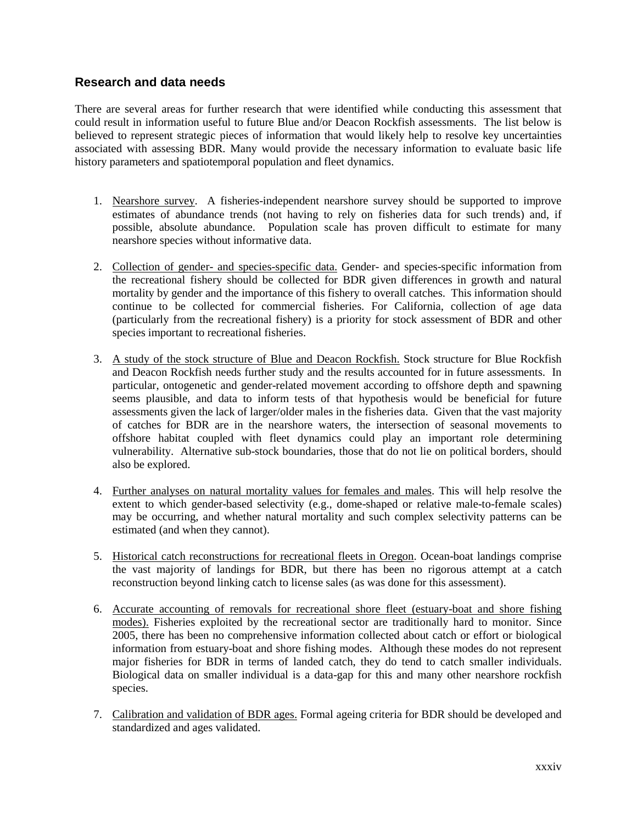## <span id="page-33-0"></span>**Research and data needs**

There are several areas for further research that were identified while conducting this assessment that could result in information useful to future Blue and/or Deacon Rockfish assessments. The list below is believed to represent strategic pieces of information that would likely help to resolve key uncertainties associated with assessing BDR. Many would provide the necessary information to evaluate basic life history parameters and spatiotemporal population and fleet dynamics.

- 1. Nearshore survey. A fisheries-independent nearshore survey should be supported to improve estimates of abundance trends (not having to rely on fisheries data for such trends) and, if possible, absolute abundance. Population scale has proven difficult to estimate for many nearshore species without informative data.
- 2. Collection of gender- and species-specific data. Gender- and species-specific information from the recreational fishery should be collected for BDR given differences in growth and natural mortality by gender and the importance of this fishery to overall catches. This information should continue to be collected for commercial fisheries. For California, collection of age data (particularly from the recreational fishery) is a priority for stock assessment of BDR and other species important to recreational fisheries.
- 3. A study of the stock structure of Blue and Deacon Rockfish. Stock structure for Blue Rockfish and Deacon Rockfish needs further study and the results accounted for in future assessments. In particular, ontogenetic and gender-related movement according to offshore depth and spawning seems plausible, and data to inform tests of that hypothesis would be beneficial for future assessments given the lack of larger/older males in the fisheries data. Given that the vast majority of catches for BDR are in the nearshore waters, the intersection of seasonal movements to offshore habitat coupled with fleet dynamics could play an important role determining vulnerability. Alternative sub-stock boundaries, those that do not lie on political borders, should also be explored.
- 4. Further analyses on natural mortality values for females and males. This will help resolve the extent to which gender-based selectivity (e.g., dome-shaped or relative male-to-female scales) may be occurring, and whether natural mortality and such complex selectivity patterns can be estimated (and when they cannot).
- 5. Historical catch reconstructions for recreational fleets in Oregon. Ocean-boat landings comprise the vast majority of landings for BDR, but there has been no rigorous attempt at a catch reconstruction beyond linking catch to license sales (as was done for this assessment).
- 6. Accurate accounting of removals for recreational shore fleet (estuary-boat and shore fishing modes). Fisheries exploited by the recreational sector are traditionally hard to monitor. Since 2005, there has been no comprehensive information collected about catch or effort or biological information from estuary-boat and shore fishing modes. Although these modes do not represent major fisheries for BDR in terms of landed catch, they do tend to catch smaller individuals. Biological data on smaller individual is a data-gap for this and many other nearshore rockfish species.
- 7. Calibration and validation of BDR ages. Formal ageing criteria for BDR should be developed and standardized and ages validated.